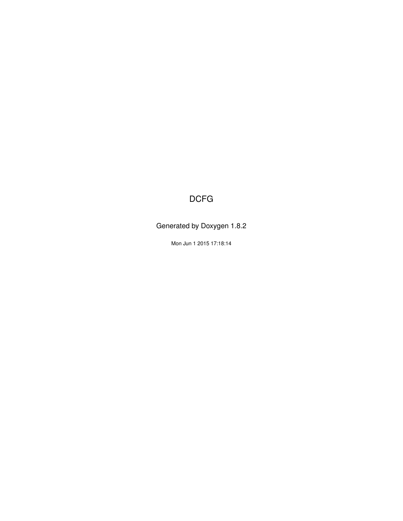## DCFG

Generated by Doxygen 1.8.2

Mon Jun 1 2015 17:18:14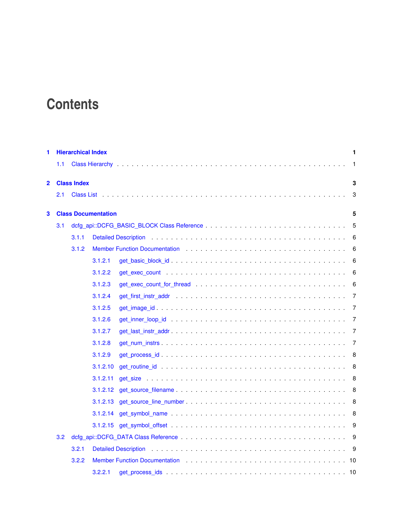# **Contents**

| 1              |     | <b>Hierarchical Index</b> |                            |                                                                                                                                                                                                                                           | $\mathbf{1}$ |
|----------------|-----|---------------------------|----------------------------|-------------------------------------------------------------------------------------------------------------------------------------------------------------------------------------------------------------------------------------------|--------------|
|                | 1.1 |                           |                            |                                                                                                                                                                                                                                           | $\mathbf{1}$ |
| $\overline{2}$ |     | <b>Class Index</b>        |                            |                                                                                                                                                                                                                                           | 3            |
|                | 2.1 |                           |                            |                                                                                                                                                                                                                                           | 3            |
| 3              |     |                           | <b>Class Documentation</b> |                                                                                                                                                                                                                                           | 5            |
|                | 3.1 |                           |                            |                                                                                                                                                                                                                                           | 5            |
|                |     | 3.1.1                     |                            | Detailed Description <i>internal containers</i> and <i>internal containers in the containers of the containers of the containers of the containers of the containers of the containers of the containers of the containers of the con</i> | 6            |
|                |     | 3.1.2                     |                            | Member Function Documentation enters and the set of the set of the set of the set of the set of the set of the set of the set of the set of the set of the set of the set of the set of the set of the set of the set of the s            | 6            |
|                |     |                           | 3.1.2.1                    |                                                                                                                                                                                                                                           | 6            |
|                |     |                           | 3.1.2.2                    |                                                                                                                                                                                                                                           | 6            |
|                |     |                           | 3.1.2.3                    |                                                                                                                                                                                                                                           | 6            |
|                |     |                           | 3.1.2.4                    |                                                                                                                                                                                                                                           | -7           |
|                |     |                           | 3.1.2.5                    |                                                                                                                                                                                                                                           | 7            |
|                |     |                           | 3.1.2.6                    |                                                                                                                                                                                                                                           | - 7          |
|                |     |                           | 3.1.2.7                    |                                                                                                                                                                                                                                           | - 7          |
|                |     |                           | 3.1.2.8                    |                                                                                                                                                                                                                                           | -7           |
|                |     |                           | 3.1.2.9                    |                                                                                                                                                                                                                                           | 8            |
|                |     |                           | 3.1.2.10                   |                                                                                                                                                                                                                                           | 8            |
|                |     |                           | 3.1.2.11                   |                                                                                                                                                                                                                                           | 8            |
|                |     |                           | 3.1.2.12                   |                                                                                                                                                                                                                                           | 8            |
|                |     |                           | 3.1.2.13                   |                                                                                                                                                                                                                                           | 8            |
|                |     |                           | 3.1.2.14                   |                                                                                                                                                                                                                                           | 8            |
|                |     |                           |                            |                                                                                                                                                                                                                                           | 9            |
|                | 3.2 |                           |                            |                                                                                                                                                                                                                                           | 9            |
|                |     | 3.2.1                     |                            | Detailed Description entertainment and the control of the control of the control of the control of the control of the control of the control of the control of the control of the control of the control of the control of the            | -9           |
|                |     | 3.2.2                     |                            | Member Function Documentation enterprise and the service of the Member Function Documentation enterprise and the Member of the Member of the Member of the Member of the Member of the Member of the Member of the Member of t            |              |
|                |     |                           | 3.2.2.1                    |                                                                                                                                                                                                                                           | - 10         |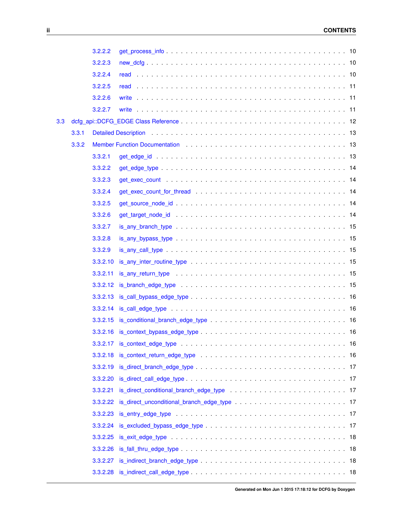|     |       | 3.2.2.2  |                                                                                                                                                                                                                                |  |
|-----|-------|----------|--------------------------------------------------------------------------------------------------------------------------------------------------------------------------------------------------------------------------------|--|
|     |       | 3.2.2.3  |                                                                                                                                                                                                                                |  |
|     |       | 3.2.2.4  |                                                                                                                                                                                                                                |  |
|     |       | 3.2.2.5  |                                                                                                                                                                                                                                |  |
|     |       | 3.2.2.6  |                                                                                                                                                                                                                                |  |
|     |       | 3.2.2.7  |                                                                                                                                                                                                                                |  |
| 3.3 |       |          |                                                                                                                                                                                                                                |  |
|     | 3.3.1 |          |                                                                                                                                                                                                                                |  |
|     | 3.3.2 |          | Member Function Documentation enters and the state of the state of the state of the state of the Member of the Member of the Member of the Member of the Member of the Member of the Member of the Member of the Member of the |  |
|     |       | 3.3.2.1  |                                                                                                                                                                                                                                |  |
|     |       | 3.3.2.2  |                                                                                                                                                                                                                                |  |
|     |       | 3.3.2.3  |                                                                                                                                                                                                                                |  |
|     |       | 3.3.2.4  |                                                                                                                                                                                                                                |  |
|     |       | 3.3.2.5  |                                                                                                                                                                                                                                |  |
|     |       | 3.3.2.6  |                                                                                                                                                                                                                                |  |
|     |       | 3.3.2.7  |                                                                                                                                                                                                                                |  |
|     |       | 3.3.2.8  |                                                                                                                                                                                                                                |  |
|     |       | 3.3.2.9  |                                                                                                                                                                                                                                |  |
|     |       | 3.3.2.10 |                                                                                                                                                                                                                                |  |
|     |       | 3.3.2.11 |                                                                                                                                                                                                                                |  |
|     |       | 3.3.2.12 |                                                                                                                                                                                                                                |  |
|     |       |          |                                                                                                                                                                                                                                |  |
|     |       | 3.3.2.14 |                                                                                                                                                                                                                                |  |
|     |       |          |                                                                                                                                                                                                                                |  |
|     |       |          |                                                                                                                                                                                                                                |  |
|     |       |          |                                                                                                                                                                                                                                |  |
|     |       | 3.3.2.18 |                                                                                                                                                                                                                                |  |
|     |       | 3.3.2.19 |                                                                                                                                                                                                                                |  |
|     |       | 3.3.2.20 |                                                                                                                                                                                                                                |  |
|     |       | 3.3.2.21 |                                                                                                                                                                                                                                |  |
|     |       | 3.3.2.22 |                                                                                                                                                                                                                                |  |
|     |       | 3.3.2.23 |                                                                                                                                                                                                                                |  |
|     |       | 3.3.2.24 |                                                                                                                                                                                                                                |  |
|     |       | 3.3.2.25 |                                                                                                                                                                                                                                |  |
|     |       | 3.3.2.26 |                                                                                                                                                                                                                                |  |
|     |       | 3.3.2.27 |                                                                                                                                                                                                                                |  |
|     |       |          |                                                                                                                                                                                                                                |  |
|     |       |          |                                                                                                                                                                                                                                |  |

**Generated on Mon Jun 1 2015 17:18:12 for DCFG by Doxygen**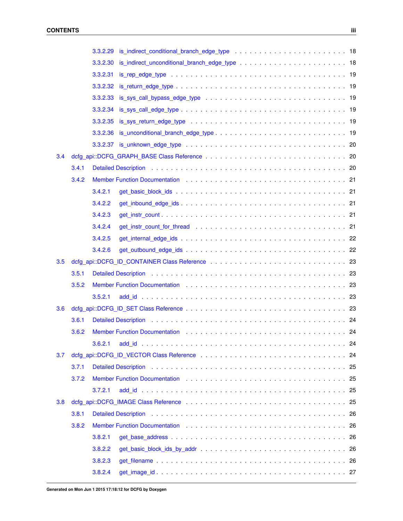|     |       | 3.3.2.29 |                                                                                                                                                                                                                                |  |
|-----|-------|----------|--------------------------------------------------------------------------------------------------------------------------------------------------------------------------------------------------------------------------------|--|
|     |       | 3.3.2.30 |                                                                                                                                                                                                                                |  |
|     |       | 3.3.2.31 |                                                                                                                                                                                                                                |  |
|     |       | 3.3.2.32 |                                                                                                                                                                                                                                |  |
|     |       | 3.3.2.33 |                                                                                                                                                                                                                                |  |
|     |       | 3.3.2.34 |                                                                                                                                                                                                                                |  |
|     |       |          |                                                                                                                                                                                                                                |  |
|     |       | 3.3.2.36 |                                                                                                                                                                                                                                |  |
|     |       |          |                                                                                                                                                                                                                                |  |
| 3.4 |       |          |                                                                                                                                                                                                                                |  |
|     | 3.4.1 |          |                                                                                                                                                                                                                                |  |
|     | 3.4.2 |          |                                                                                                                                                                                                                                |  |
|     |       | 3.4.2.1  |                                                                                                                                                                                                                                |  |
|     |       | 3.4.2.2  |                                                                                                                                                                                                                                |  |
|     |       | 3.4.2.3  |                                                                                                                                                                                                                                |  |
|     |       | 3.4.2.4  | get_instr_count_for_thread (education in the count of the count of the count of the count of the count of the count of the count of the count of the count of the count of the count of the count of the count of the count of |  |
|     |       | 3.4.2.5  |                                                                                                                                                                                                                                |  |
|     |       | 3.4.2.6  |                                                                                                                                                                                                                                |  |
| 3.5 |       |          |                                                                                                                                                                                                                                |  |
|     | 3.5.1 |          |                                                                                                                                                                                                                                |  |
|     | 3.5.2 |          | Member Function Documentation enterstanding to the state of the state of the state of the state of the state of the state of the state of the state of the state of the state of the state of the state of the state of the st |  |
|     |       | 3.5.2.1  |                                                                                                                                                                                                                                |  |
| 3.6 |       |          |                                                                                                                                                                                                                                |  |
|     | 3.6.1 |          |                                                                                                                                                                                                                                |  |
|     | 3.6.2 |          | Member Function Documentation enterstanding to the state of the state of the state of the state of the state of the state of the state of the state of the state of the state of the state of the state of the state of the st |  |
|     |       | 3.6.2.1  |                                                                                                                                                                                                                                |  |
| 3.7 |       |          |                                                                                                                                                                                                                                |  |
|     | 3.7.1 |          | Detailed Description (assembly) and a series of the series of the series of the series of the series of the series of the series of the series of the series of the series of the series of the series of the series of the se |  |
|     | 3.7.2 |          | Member Function Documentation enterprise under the contract of the contract of the contract of the contract of                                                                                                                 |  |
|     |       | 3.7.2.1  |                                                                                                                                                                                                                                |  |
| 3.8 |       |          |                                                                                                                                                                                                                                |  |
|     | 3.8.1 |          | Detailed Description (assessment of the contract of the contract of the contract of the contract of the contract of the contract of the contract of the contract of the contract of the contract of the contract of the contra |  |
|     | 3.8.2 |          | Member Function Documentation enterstanding to the state of the state of the state of the state of the state of the Member of the State of the State of the State of the State of the State of the State of the State of the S |  |
|     |       | 3.8.2.1  |                                                                                                                                                                                                                                |  |
|     |       | 3.8.2.2  |                                                                                                                                                                                                                                |  |
|     |       | 3.8.2.3  |                                                                                                                                                                                                                                |  |
|     |       | 3.8.2.4  |                                                                                                                                                                                                                                |  |
|     |       |          |                                                                                                                                                                                                                                |  |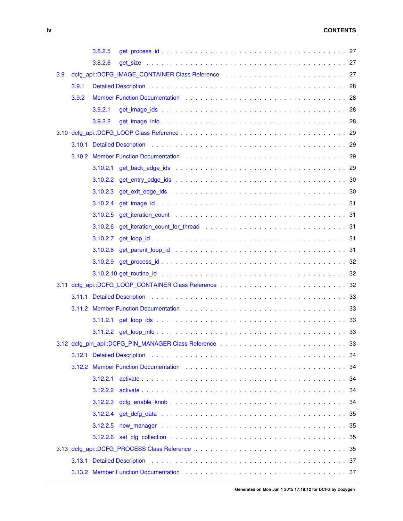|     |       | 3.8.2.5  |                                                                                                                                                                                                                                |  |  |
|-----|-------|----------|--------------------------------------------------------------------------------------------------------------------------------------------------------------------------------------------------------------------------------|--|--|
|     |       | 3.8.2.6  |                                                                                                                                                                                                                                |  |  |
| 3.9 |       |          |                                                                                                                                                                                                                                |  |  |
|     | 3.9.1 |          |                                                                                                                                                                                                                                |  |  |
|     | 3.9.2 |          |                                                                                                                                                                                                                                |  |  |
|     |       | 3.9.2.1  |                                                                                                                                                                                                                                |  |  |
|     |       | 3.9.2.2  |                                                                                                                                                                                                                                |  |  |
|     |       |          |                                                                                                                                                                                                                                |  |  |
|     |       |          | 3.10.1 Detailed Description et al., et al., et al., et al., et al., et al., et al., et al., et al., et al., et al., et al., et al., et al., et al., et al., et al., et al., et al., et al., et al., et al., et al., et al., et |  |  |
|     |       |          |                                                                                                                                                                                                                                |  |  |
|     |       | 3.10.2.1 |                                                                                                                                                                                                                                |  |  |
|     |       |          |                                                                                                                                                                                                                                |  |  |
|     |       |          |                                                                                                                                                                                                                                |  |  |
|     |       |          |                                                                                                                                                                                                                                |  |  |
|     |       | 3.10.2.5 |                                                                                                                                                                                                                                |  |  |
|     |       |          |                                                                                                                                                                                                                                |  |  |
|     |       |          |                                                                                                                                                                                                                                |  |  |
|     |       |          |                                                                                                                                                                                                                                |  |  |
|     |       |          |                                                                                                                                                                                                                                |  |  |
|     |       |          |                                                                                                                                                                                                                                |  |  |
|     |       |          |                                                                                                                                                                                                                                |  |  |
|     |       |          |                                                                                                                                                                                                                                |  |  |
|     |       |          |                                                                                                                                                                                                                                |  |  |
|     |       |          |                                                                                                                                                                                                                                |  |  |
|     |       |          |                                                                                                                                                                                                                                |  |  |
|     |       |          |                                                                                                                                                                                                                                |  |  |
|     |       |          |                                                                                                                                                                                                                                |  |  |
|     |       |          |                                                                                                                                                                                                                                |  |  |
|     |       |          |                                                                                                                                                                                                                                |  |  |
|     |       |          |                                                                                                                                                                                                                                |  |  |
|     |       |          |                                                                                                                                                                                                                                |  |  |
|     |       |          |                                                                                                                                                                                                                                |  |  |
|     |       |          |                                                                                                                                                                                                                                |  |  |
|     |       |          |                                                                                                                                                                                                                                |  |  |
|     |       |          |                                                                                                                                                                                                                                |  |  |
|     |       |          |                                                                                                                                                                                                                                |  |  |
|     |       |          | 3.13.2 Member Function Documentation (etc.) and (etc.) and (etc.) and (etc.) and (etc.) and (etc.) and (etc.) and (etc.) and (etc.) and (etc.) and (etc.) and (etc.) and (etc.) and (etc.) and (etc.) and (etc.) and (etc.) an |  |  |
|     |       |          |                                                                                                                                                                                                                                |  |  |

**Generated on Mon Jun 1 2015 17:18:12 for DCFG by Doxygen**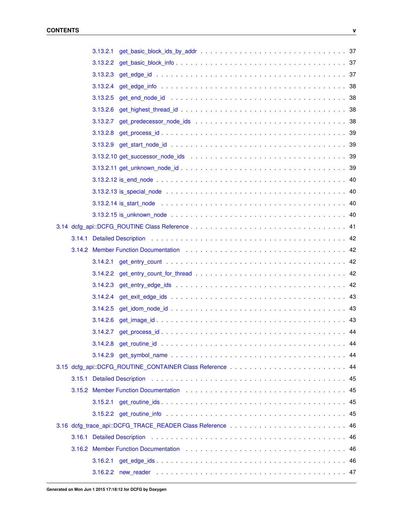|  |          | 3.14.1 Detailed Description entertainment and the series of the series of the series of the series of the series of the series of the series of the series of the series of the series of the series of the series of the seri |  |
|--|----------|--------------------------------------------------------------------------------------------------------------------------------------------------------------------------------------------------------------------------------|--|
|  |          |                                                                                                                                                                                                                                |  |
|  |          |                                                                                                                                                                                                                                |  |
|  |          |                                                                                                                                                                                                                                |  |
|  |          |                                                                                                                                                                                                                                |  |
|  |          |                                                                                                                                                                                                                                |  |
|  | 3.14.2.5 |                                                                                                                                                                                                                                |  |
|  |          |                                                                                                                                                                                                                                |  |
|  |          |                                                                                                                                                                                                                                |  |
|  |          |                                                                                                                                                                                                                                |  |
|  |          |                                                                                                                                                                                                                                |  |
|  |          |                                                                                                                                                                                                                                |  |
|  |          |                                                                                                                                                                                                                                |  |
|  |          |                                                                                                                                                                                                                                |  |
|  |          |                                                                                                                                                                                                                                |  |
|  |          |                                                                                                                                                                                                                                |  |
|  |          |                                                                                                                                                                                                                                |  |
|  |          |                                                                                                                                                                                                                                |  |
|  |          | 3.16.2 Member Function Documentation et al., which is a series of the series of the series of the series of the series of the series of the series of the series of the series of the series of the series of the series of th |  |
|  |          |                                                                                                                                                                                                                                |  |
|  |          |                                                                                                                                                                                                                                |  |
|  |          |                                                                                                                                                                                                                                |  |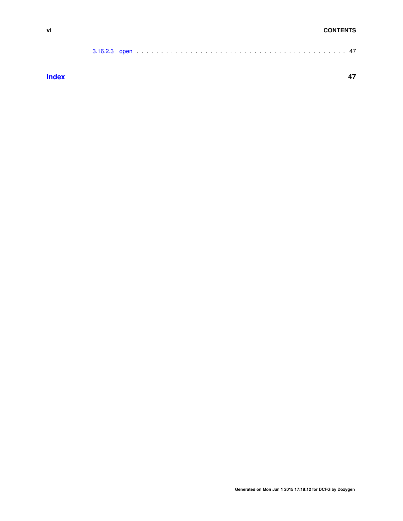|--|--|--|--|--|--|--|--|--|--|--|--|--|--|--|--|--|--|--|--|--|--|--|--|--|--|--|--|--|--|--|--|--|--|--|--|--|--|

**[Index](#page-54-2) 47**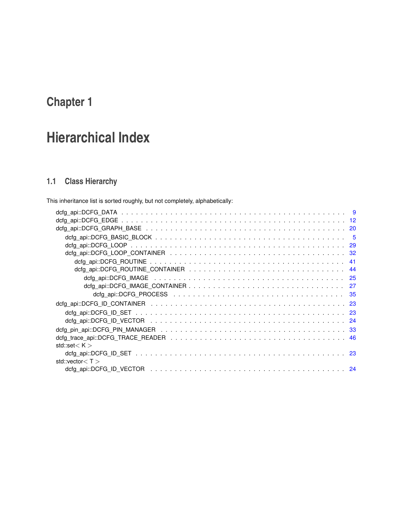# <span id="page-8-0"></span>**Chapter 1**

# **Hierarchical Index**

## <span id="page-8-1"></span>**1.1 Class Hierarchy**

This inheritance list is sorted roughly, but not completely, alphabetically:

| std::set $<$ K $>$    |  |
|-----------------------|--|
|                       |  |
| std::vector $<$ T $>$ |  |
|                       |  |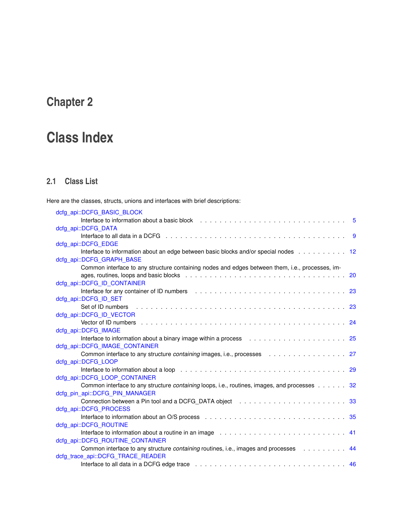# <span id="page-10-0"></span>**Chapter 2**

# **Class Index**

## <span id="page-10-1"></span>**2.1 Class List**

Here are the classes, structs, unions and interfaces with brief descriptions:

| dcfg_api::DCFG_BASIC_BLOCK                                                                                                                                                                                                                              |     |
|---------------------------------------------------------------------------------------------------------------------------------------------------------------------------------------------------------------------------------------------------------|-----|
|                                                                                                                                                                                                                                                         | 5   |
| dcfg_api::DCFG_DATA                                                                                                                                                                                                                                     |     |
|                                                                                                                                                                                                                                                         | -9  |
| dcfg api::DCFG EDGE                                                                                                                                                                                                                                     |     |
| Interface to information about an edge between basic blocks and/or special nodes 12                                                                                                                                                                     |     |
| dcfg api::DCFG GRAPH BASE                                                                                                                                                                                                                               |     |
| Common interface to any structure containing nodes and edges between them, i.e., processes, im-                                                                                                                                                         |     |
|                                                                                                                                                                                                                                                         | 20  |
| dcfg_api::DCFG_ID_CONTAINER                                                                                                                                                                                                                             |     |
| Interface for any container of ID numbers (a) the state of the state of the state of the model of the state of the model of the state of the model of the model of the model of the model of the model of the model of the mod                          |     |
| dcfg api::DCFG ID SET                                                                                                                                                                                                                                   |     |
| Set of ID numbers                                                                                                                                                                                                                                       | -23 |
| dcfg api::DCFG ID VECTOR                                                                                                                                                                                                                                |     |
|                                                                                                                                                                                                                                                         | -24 |
| dcfg api::DCFG IMAGE                                                                                                                                                                                                                                    |     |
|                                                                                                                                                                                                                                                         |     |
| dcfg_api::DCFG_IMAGE_CONTAINER                                                                                                                                                                                                                          |     |
| Common interface to any structure <i>containing</i> images, i.e., processes extermandance in the response of the common                                                                                                                                 |     |
| dcfg api::DCFG LOOP                                                                                                                                                                                                                                     |     |
|                                                                                                                                                                                                                                                         | 29  |
| dcfg_api::DCFG_LOOP_CONTAINER                                                                                                                                                                                                                           |     |
| Common interface to any structure containing loops, i.e., routines, images, and processes 32                                                                                                                                                            |     |
| dcfg pin api::DCFG PIN MANAGER                                                                                                                                                                                                                          |     |
|                                                                                                                                                                                                                                                         |     |
| dcfg api::DCFG PROCESS                                                                                                                                                                                                                                  |     |
|                                                                                                                                                                                                                                                         |     |
| dcfg api::DCFG ROUTINE<br>Interface to information about a routine in an image referred by an account of the state of the state of the state of the state of the state of the state of the state of the state of the state of the state of the state of | -41 |
| dcfg_api::DCFG_ROUTINE_CONTAINER                                                                                                                                                                                                                        |     |
| Common interface to any structure containing routines, i.e., images and processes                                                                                                                                                                       | 44  |
| dcfg_trace_api::DCFG_TRACE_READER                                                                                                                                                                                                                       |     |
|                                                                                                                                                                                                                                                         | 46  |
|                                                                                                                                                                                                                                                         |     |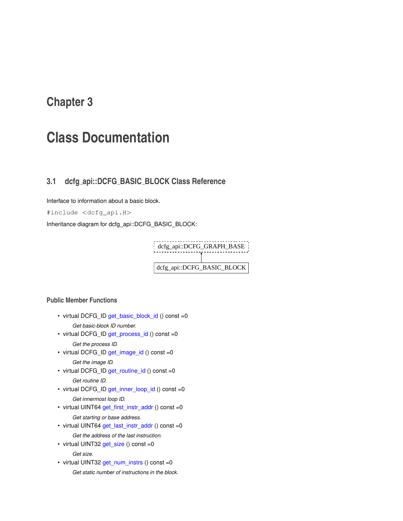## <span id="page-12-2"></span><span id="page-12-0"></span>**Chapter 3**

# **Class Documentation**

## <span id="page-12-1"></span>**3.1 dcfg api::DCFG BASIC BLOCK Class Reference**

Interface to information about a basic block.

#include <dcfg\_api.H>

Inheritance diagram for dcfg\_api::DCFG\_BASIC\_BLOCK:

| dcfg_api::DCFG_GRAPH_BASE  |
|----------------------------|
|                            |
| dcfg_api::DCFG_BASIC_BLOCK |

## **Public Member Functions**

- virtual DCFG\_ID [get\\_basic\\_block\\_id](#page-13-2) () const =0 *Get basic-block ID number.*
- virtual DCFG\_ID [get\\_process\\_id](#page-14-5) () const =0 *Get the process ID.*
- virtual DCFG\_ID [get\\_image\\_id](#page-14-6) () const =0 *Get the image ID.*
- virtual DCFG\_ID [get\\_routine\\_id](#page-15-6) () const =0 *Get routine ID.*
- virtual DCFG\_ID [get\\_inner\\_loop\\_id](#page-14-7) () const =0 *Get innermost loop ID.*
- virtual UINT64 [get\\_first\\_instr\\_addr](#page-14-0) () const =0 *Get starting or base address.*
- virtual UINT64 [get\\_last\\_instr\\_addr](#page-14-8) () const =0 *Get the address of the last instruction.*
- virtual UINT32 [get\\_size](#page-15-7) () const =0

*Get size.*

• virtual UINT32 [get\\_num\\_instrs](#page-14-9) () const =0 *Get static number of instructions in the block.*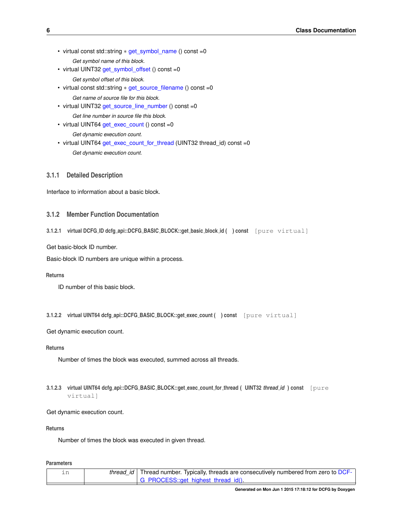- <span id="page-13-7"></span>• virtual const std::string ∗ [get\\_symbol\\_name](#page-15-8) () const =0 *Get symbol name of this block.*
- virtual UINT32 [get\\_symbol\\_offset](#page-15-9) () const =0 *Get symbol offset of this block.*
- virtual const std::string ∗ [get\\_source\\_filename](#page-15-10) () const =0 *Get name of source file for this block.*
- virtual UINT32 [get\\_source\\_line\\_number](#page-15-11) () const =0 *Get line number in source file this block.*
- virtual UINT64 [get\\_exec\\_count](#page-13-5) () const =0 *Get dynamic execution count.*
- virtual UINT64 [get\\_exec\\_count\\_for\\_thread](#page-13-6) (UINT32 thread\_id) const =0 *Get dynamic execution count.*

### <span id="page-13-0"></span>**3.1.1 Detailed Description**

Interface to information about a basic block.

## <span id="page-13-1"></span>**3.1.2 Member Function Documentation**

<span id="page-13-2"></span>**3.1.2.1 virtual DCFG ID dcfg api::DCFG BASIC BLOCK::get basic block id ( ) const** [pure virtual]

Get basic-block ID number.

Basic-block ID numbers are unique within a process.

#### **Returns**

ID number of this basic block.

```
3.1.2.2 virtual UINT64 dcfg api::DCFG BASIC BLOCK::get exec count ( ) const [pure virtual]
```
Get dynamic execution count.

**Returns**

Number of times the block was executed, summed across all threads.

#### <span id="page-13-6"></span><span id="page-13-4"></span>**3.1.2.3 virtual UINT64 dcfg api::DCFG BASIC BLOCK::get exec count for thread ( UINT32** *thread id* **) const** [pure virtual]

#### Get dynamic execution count.

#### **Returns**

Number of times the block was executed in given thread.

**Parameters**

|  | thread id   Thread number. Typically, threads are consecutively numbered from zero to DCF- |
|--|--------------------------------------------------------------------------------------------|
|  | G PROCESS::get highest thread id().                                                        |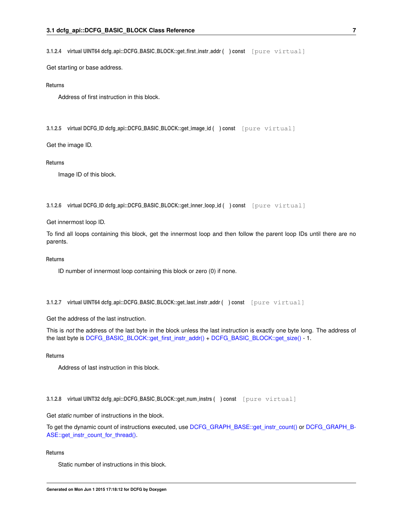<span id="page-14-10"></span><span id="page-14-0"></span>**3.1.2.4 virtual UINT64 dcfg api::DCFG BASIC BLOCK::get first instr addr ( ) const** [pure virtual]

Get starting or base address.

#### **Returns**

<span id="page-14-6"></span>Address of first instruction in this block.

<span id="page-14-1"></span>**3.1.2.5 virtual DCFG ID dcfg api::DCFG BASIC BLOCK::get image id ( ) const** [pure virtual]

Get the image ID.

#### **Returns**

Image ID of this block.

<span id="page-14-7"></span><span id="page-14-2"></span>**3.1.2.6 virtual DCFG ID dcfg api::DCFG BASIC BLOCK::get inner loop id ( ) const** [pure virtual]

Get innermost loop ID.

To find all loops containing this block, get the innermost loop and then follow the parent loop IDs until there are no parents.

**Returns**

ID number of innermost loop containing this block or zero (0) if none.

```
3.1.2.7 virtual UINT64 dcfg api::DCFG BASIC BLOCK::get last instr addr ( ) const [pure virtual]
```
Get the address of the last instruction.

This is *not* the address of the last byte in the block unless the last instruction is exactly one byte long. The address of the last byte is [DCFG\\_BASIC\\_BLOCK::get\\_first\\_instr\\_addr\(\)](#page-14-0) + [DCFG\\_BASIC\\_BLOCK::get\\_size\(\)](#page-15-7) - 1.

#### **Returns**

<span id="page-14-9"></span>Address of last instruction in this block.

<span id="page-14-4"></span>**3.1.2.8 virtual UINT32 dcfg api::DCFG BASIC BLOCK::get num instrs ( ) const** [pure virtual]

Get *static* number of instructions in the block.

To get the dynamic count of instructions executed, use [DCFG\\_GRAPH\\_BASE::get\\_instr\\_count\(\)](#page-28-5) or [DCFG\\_GRAPH\\_B-](#page-28-6)[ASE::get\\_instr\\_count\\_for\\_thread\(\).](#page-28-6)

#### **Returns**

<span id="page-14-5"></span>Static number of instructions in this block.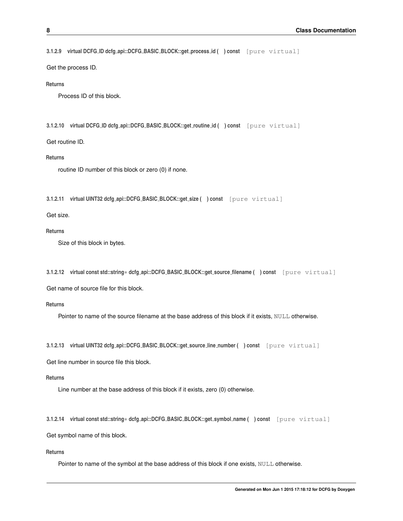```
3.1.2.9 virtual DCFG ID dcfg api::DCFG BASIC BLOCK::get process id ( ) const [pure virtual]
```
Get the process ID.

**Returns**

<span id="page-15-6"></span>Process ID of this block.

<span id="page-15-1"></span>**3.1.2.10 virtual DCFG ID dcfg api::DCFG BASIC BLOCK::get routine id ( ) const** [pure virtual]

Get routine ID.

**Returns**

routine ID number of this block or zero (0) if none.

<span id="page-15-7"></span><span id="page-15-2"></span>**3.1.2.11 virtual UINT32 dcfg api::DCFG BASIC BLOCK::get size ( ) const** [pure virtual]

Get size.

**Returns**

Size of this block in bytes.

```
3.1.2.12 virtual const std::string∗ dcfg api::DCFG BASIC BLOCK::get source filename ( ) const [pure virtual]
```
Get name of source file for this block.

**Returns**

Pointer to name of the source filename at the base address of this block if it exists, NULL otherwise.

<span id="page-15-11"></span><span id="page-15-4"></span>**3.1.2.13 virtual UINT32 dcfg api::DCFG BASIC BLOCK::get source line number ( ) const** [pure virtual]

Get line number in source file this block.

#### **Returns**

Line number at the base address of this block if it exists, zero (0) otherwise.

<span id="page-15-8"></span><span id="page-15-5"></span>**3.1.2.14 virtual const std::string**∗ **dcfg api::DCFG BASIC BLOCK::get symbol name ( ) const** [pure virtual]

Get symbol name of this block.

### **Returns**

<span id="page-15-9"></span>Pointer to name of the symbol at the base address of this block if one exists, NULL otherwise.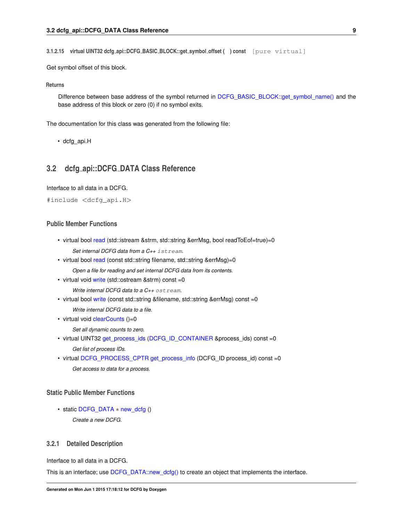<span id="page-16-5"></span><span id="page-16-0"></span>**3.1.2.15 virtual UINT32 dcfg api::DCFG BASIC BLOCK::get symbol offset ( ) const** [pure virtual]

Get symbol offset of this block.

**Returns**

Difference between base address of the symbol returned in [DCFG\\_BASIC\\_BLOCK::get\\_symbol\\_name\(\)](#page-15-8) and the base address of this block or zero (0) if no symbol exits.

The documentation for this class was generated from the following file:

• dcfg\_api.H

## <span id="page-16-3"></span><span id="page-16-1"></span>**3.2 dcfg api::DCFG DATA Class Reference**

Interface to all data in a DCFG.

```
#include <dcfg_api.H>
```
#### **Public Member Functions**

- virtual bool [read](#page-17-5) (std::istream &strm, std::string &errMsg, bool readToEof=true)=0 *Set internal DCFG data from a C++* istream*.*
- virtual bool [read](#page-18-5) (const std::string filename, std::string &errMsg)=0
- *Open a file for reading and set internal DCFG data from its contents.*
- virtual void [write](#page-18-6) (std::ostream &strm) const =0
	- *Write internal DCFG data to a C++* ostream*.*
- virtual bool [write](#page-18-7) (const std::string &filename, std::string &errMsg) const =0 *Write internal DCFG data to a file.*
- <span id="page-16-4"></span>• virtual void [clearCounts](#page-16-4) ()=0
	- *Set all dynamic counts to zero.*
- virtual UINT32 [get\\_process\\_ids](#page-17-1) [\(DCFG\\_ID\\_CONTAINER](#page-29-3) &process\_ids) const =0
	- *Get list of process IDs.*
- virtual [DCFG\\_PROCESS\\_CPTR](#page-42-4) [get\\_process\\_info](#page-17-6) (DCFG\_ID process\_id) const =0 *Get access to data for a process.*

## **Static Public Member Functions**

• static [DCFG\\_DATA](#page-16-3) ∗ [new\\_dcfg](#page-17-7) ()

*Create a new DCFG.*

#### <span id="page-16-2"></span>**3.2.1 Detailed Description**

Interface to all data in a DCFG.

This is an interface; use [DCFG\\_DATA::new\\_dcfg\(\)](#page-17-7) to create an object that implements the interface.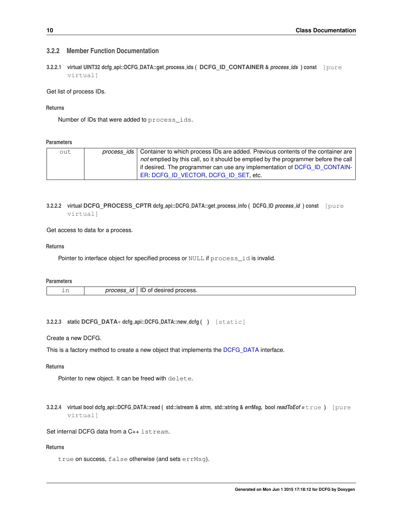## <span id="page-17-8"></span><span id="page-17-0"></span>**3.2.2 Member Function Documentation**

<span id="page-17-1"></span>**3.2.2.1 virtual UINT32 dcfg api::DCFG DATA::get process ids ( DCFG\_ID\_CONTAINER &** *process ids* **) const** [pure virtual]

## Get list of process IDs.

#### **Returns**

Number of IDs that were added to process\_ids.

#### **Parameters**

| out | process ids   Container to which process IDs are added. Previous contents of the container are |
|-----|------------------------------------------------------------------------------------------------|
|     | not emptied by this call, so it should be emptied by the programmer before the call            |
|     | if desired. The programmer can use any implementation of DCFG ID CONTAIN-                      |
|     | ER DCFG ID VECTOR DCFG ID SET etc.                                                             |

## <span id="page-17-6"></span><span id="page-17-2"></span>**3.2.2.2 virtual DCFG\_PROCESS\_CPTR dcfg api::DCFG DATA::get process info ( DCFG ID** *process id* **) const** [pure virtual]

Get access to data for a process.

#### **Returns**

Pointer to interface object for specified process or NULL if process\_id is invalid.

**Parameters**

<span id="page-17-7"></span>

| <b>++++</b><br>- - - - -<br>$\sim$<br>_ | - - | nro<br>и. | ~~ |
|-----------------------------------------|-----|-----------|----|
|-----------------------------------------|-----|-----------|----|

<span id="page-17-3"></span>**3.2.2.3 static DCFG\_DATA**∗ **dcfg api::DCFG DATA::new dcfg ( )** [static]

Create a new DCFG.

This is a factory method to create a new object that implements the [DCFG\\_DATA](#page-16-3) interface.

#### **Returns**

Pointer to new object. It can be freed with delete.

<span id="page-17-5"></span><span id="page-17-4"></span>**3.2.2.4 virtual bool dcfg api::DCFG DATA::read ( std::istream &** *strm,* **std::string &** *errMsg,* **bool** *readToEof =* true **)** [pure virtual]

Set internal DCFG data from a C++ istream.

## **Returns**

true on success, false otherwise (and sets errMsg).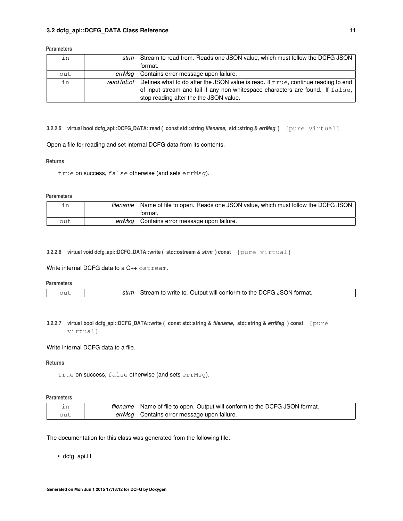#### <span id="page-18-8"></span>**Parameters**

| in  | strm   Stream to read from. Reads one JSON value, which must follow the DCFG JSON                  |
|-----|----------------------------------------------------------------------------------------------------|
|     | format.                                                                                            |
| out | errMsg   Contains error message upon failure.                                                      |
| in  | read To Eof   Defines what to do after the JSON value is read. If $true$ , continue reading to end |
|     | of input stream and fail if any non-white space characters are found. If false,                    |
|     | stop reading after the the JSON value.                                                             |

<span id="page-18-5"></span><span id="page-18-0"></span>**3.2.2.5 virtual bool dcfg api::DCFG DATA::read ( const std::string** *filename,* **std::string &** *errMsg* **)** [pure virtual]

Open a file for reading and set internal DCFG data from its contents.

#### **Returns**

true on success, false otherwise (and sets errMsg).

#### **Parameters**

| ın  | filename | $^\dagger$ Name of file to open. Reads one JSON value, which must follow the DCFG JSON $\parallel$ |
|-----|----------|----------------------------------------------------------------------------------------------------|
|     |          | format.                                                                                            |
| out |          | errMsg   Contains error message upon failure.                                                      |

<span id="page-18-6"></span><span id="page-18-1"></span>**3.2.2.6 virtual void dcfg api::DCFG DATA::write ( std::ostream &** *strm* **) const** [pure virtual]

## Write internal DCFG data to a C++ ostream.

**Parameters**

<span id="page-18-7"></span>

|  |  | strm | Stream to write to. Output will conform to the DCFG JSON format. |
|--|--|------|------------------------------------------------------------------|
|--|--|------|------------------------------------------------------------------|

<span id="page-18-2"></span>**3.2.2.7 virtual bool dcfg api::DCFG DATA::write ( const std::string &** *filename,* **std::string &** *errMsg* **) const** [pure virtual]

#### Write internal DCFG data to a file.

#### **Returns**

true on success, false otherwise (and sets errMsq).

#### **Parameters**

|     | tilename l | Name of file to open. Output will conform to the DCFG JSON format. |
|-----|------------|--------------------------------------------------------------------|
| out | errMsa I   | Contains error message upon failure.                               |

The documentation for this class was generated from the following file:

<span id="page-18-4"></span><span id="page-18-3"></span>• dcfg\_api.H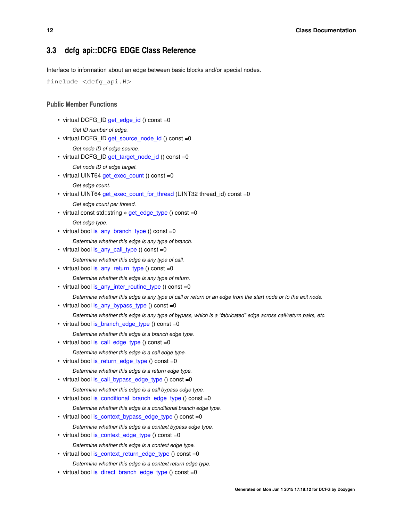## <span id="page-19-0"></span>**3.3 dcfg api::DCFG EDGE Class Reference**

Interface to information about an edge between basic blocks and/or special nodes.

```
#include <dcfg_api.H>
```
#### **Public Member Functions**

- virtual DCFG\_ID [get\\_edge\\_id](#page-20-2) () const =0 *Get ID number of edge.*
- virtual DCFG ID get source node id () const =0 *Get node ID of edge source.*
- virtual DCFG ID get target node id () const =0 *Get node ID of edge target.*
- virtual UINT64 [get\\_exec\\_count](#page-21-7) () const =0
	- *Get edge count.*
- virtual UINT64 [get\\_exec\\_count\\_for\\_thread](#page-21-8) (UINT32 thread\_id) const =0
	- *Get edge count per thread.*
- virtual const std::string ∗ [get\\_edge\\_type](#page-20-3) () const =0

#### *Get edge type.*

• virtual bool [is\\_any\\_branch\\_type](#page-21-9) () const =0

*Determine whether this edge is any type of branch.*

- virtual bool is any call type () const =0
	- *Determine whether this edge is any type of call.*
- virtual bool [is\\_any\\_return\\_type](#page-22-7) () const =0
	- *Determine whether this edge is any type of return.*
- virtual bool [is\\_any\\_inter\\_routine\\_type](#page-22-8) () const =0

*Determine whether this edge is any type of call or return or an edge from the start node or to the exit node.*

- virtual bool [is\\_any\\_bypass\\_type](#page-22-9) () const =0
	- *Determine whether this edge is any type of bypass, which is a "fabricated" edge across call/return pairs, etc.*
- virtual bool [is\\_branch\\_edge\\_type](#page-22-10) () const =0
	- *Determine whether this edge is a branch edge type.*
- virtual bool [is\\_call\\_edge\\_type](#page-23-6) () const =0

*Determine whether this edge is a call edge type.*

- virtual bool [is\\_return\\_edge\\_type](#page-26-6) () const =0
	- *Determine whether this edge is a return edge type.*
- virtual bool [is\\_call\\_bypass\\_edge\\_type](#page-22-11) () const =0

*Determine whether this edge is a call bypass edge type.*

- virtual bool [is\\_conditional\\_branch\\_edge\\_type](#page-23-7) () const =0 *Determine whether this edge is a conditional branch edge type.*
- virtual bool [is\\_context\\_bypass\\_edge\\_type](#page-23-8) () const =0
	- *Determine whether this edge is a context bypass edge type.*
- virtual bool is context edge type () const =0 *Determine whether this edge is a context edge type.*
- virtual bool [is\\_context\\_return\\_edge\\_type](#page-23-10) () const =0
- *Determine whether this edge is a context return edge type.*
- virtual bool [is\\_direct\\_branch\\_edge\\_type](#page-23-11) () const =0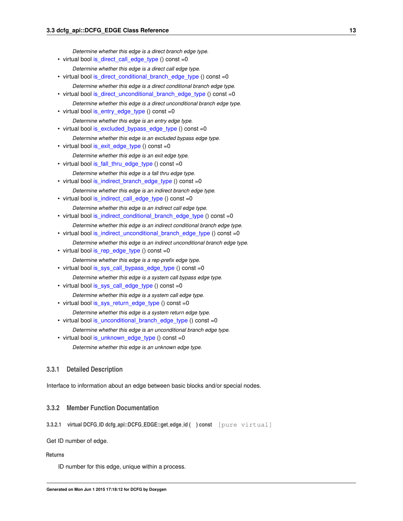*Determine whether this edge is a direct branch edge type.*

- <span id="page-20-4"></span>• virtual bool is direct call edge type () const =0
	- *Determine whether this edge is a direct call edge type.*
- virtual bool is direct conditional branch edge type () const =0 *Determine whether this edge is a direct conditional branch edge type.*
- virtual bool [is\\_direct\\_unconditional\\_branch\\_edge\\_type](#page-24-8) () const =0 *Determine whether this edge is a direct unconditional branch edge type.*
- virtual bool [is\\_entry\\_edge\\_type](#page-24-9) () const =0 *Determine whether this edge is an entry edge type.*
- virtual bool is excluded bypass edge type () const =0 *Determine whether this edge is an excluded bypass edge type.*
- virtual bool [is\\_exit\\_edge\\_type](#page-24-11) () const =0

*Determine whether this edge is an exit edge type.*

- virtual bool [is\\_fall\\_thru\\_edge\\_type](#page-25-6) () const =0 *Determine whether this edge is a fall thru edge type.*
- virtual bool [is\\_indirect\\_branch\\_edge\\_type](#page-25-7) () const =0 *Determine whether this edge is an indirect branch edge type.*
- virtual bool [is\\_indirect\\_call\\_edge\\_type](#page-25-8) () const =0 *Determine whether this edge is an indirect call edge type.*
- virtual bool [is\\_indirect\\_conditional\\_branch\\_edge\\_type](#page-25-9) () const =0 *Determine whether this edge is an indirect conditional branch edge type.*
- virtual bool [is\\_indirect\\_unconditional\\_branch\\_edge\\_type](#page-25-10) () const =0 *Determine whether this edge is an indirect unconditional branch edge type.*
- virtual bool [is\\_rep\\_edge\\_type](#page-25-11) () const =0 *Determine whether this edge is a rep-prefix edge type.*
- virtual bool [is\\_sys\\_call\\_bypass\\_edge\\_type](#page-26-7) () const =0 *Determine whether this edge is a system call bypass edge type.*
- virtual bool [is\\_sys\\_call\\_edge\\_type](#page-26-8) () const =0 *Determine whether this edge is a system call edge type.*
- virtual bool [is\\_sys\\_return\\_edge\\_type](#page-26-9) () const =0 *Determine whether this edge is a system return edge type.*
- virtual bool [is\\_unconditional\\_branch\\_edge\\_type](#page-26-10) () const =0
	- *Determine whether this edge is an unconditional branch edge type.*
- virtual bool [is\\_unknown\\_edge\\_type](#page-26-11) () const =0 *Determine whether this edge is an unknown edge type.*

#### <span id="page-20-0"></span>**3.3.1 Detailed Description**

Interface to information about an edge between basic blocks and/or special nodes.

#### <span id="page-20-1"></span>**3.3.2 Member Function Documentation**

<span id="page-20-2"></span>**3.3.2.1 virtual DCFG ID dcfg api::DCFG EDGE::get edge id ( ) const** [pure virtual]

#### Get ID number of edge.

**Returns**

<span id="page-20-3"></span>ID number for this edge, unique within a process.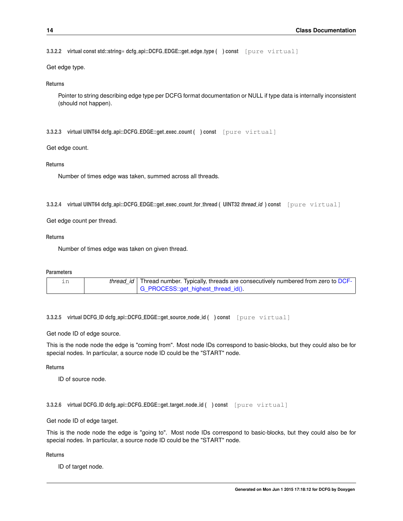<span id="page-21-10"></span><span id="page-21-0"></span>**3.3.2.2 virtual const std::string**∗ **dcfg api::DCFG EDGE::get edge type ( ) const** [pure virtual]

Get edge type.

**Returns**

Pointer to string describing edge type per DCFG format documentation or NULL if type data is internally inconsistent (should not happen).

<span id="page-21-7"></span><span id="page-21-1"></span>**3.3.2.3 virtual UINT64 dcfg api::DCFG EDGE::get exec count ( ) const** [pure virtual]

Get edge count.

**Returns**

Number of times edge was taken, summed across all threads.

<span id="page-21-8"></span><span id="page-21-2"></span>**3.3.2.4 virtual UINT64 dcfg api::DCFG EDGE::get exec count for thread ( UINT32** *thread id* **) const** [pure virtual]

Get edge count per thread.

**Returns**

Number of times edge was taken on given thread.

**Parameters**

|  | thread_id   Thread number. Typically, threads are consecutively numbered from zero to DCF- |
|--|--------------------------------------------------------------------------------------------|
|  | G_PROCESS::get_highest_thread_id().                                                        |

<span id="page-21-5"></span><span id="page-21-3"></span>**3.3.2.5 virtual DCFG ID dcfg api::DCFG EDGE::get source node id ( ) const** [pure virtual]

Get node ID of edge source.

This is the node node the edge is "coming from". Most node IDs correspond to basic-blocks, but they could also be for special nodes. In particular, a source node ID could be the "START" node.

**Returns**

<span id="page-21-6"></span>ID of source node.

<span id="page-21-4"></span>**3.3.2.6 virtual DCFG ID dcfg api::DCFG EDGE::get target node id ( ) const** [pure virtual]

Get node ID of edge target.

This is the node node the edge is "going to". Most node IDs correspond to basic-blocks, but they could also be for special nodes. In particular, a source node ID could be the "START" node.

**Returns**

<span id="page-21-9"></span>ID of target node.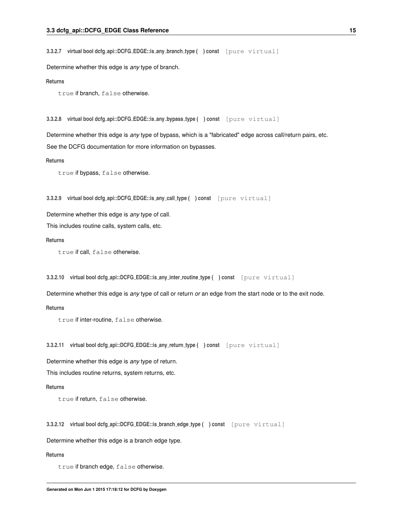<span id="page-22-12"></span><span id="page-22-0"></span>**3.3.2.7 virtual bool dcfg api::DCFG EDGE::is any branch type ( ) const** [pure virtual]

Determine whether this edge is *any* type of branch.

#### **Returns**

<span id="page-22-9"></span>true if branch, false otherwise.

<span id="page-22-1"></span>**3.3.2.8 virtual bool dcfg api::DCFG EDGE::is any bypass type ( ) const** [pure virtual]

Determine whether this edge is *any* type of bypass, which is a "fabricated" edge across call/return pairs, etc. See the DCFG documentation for more information on bypasses.

**Returns**

<span id="page-22-6"></span>true if bypass, false otherwise.

<span id="page-22-2"></span>**3.3.2.9 virtual bool dcfg api::DCFG EDGE::is any call type ( ) const** [pure virtual]

Determine whether this edge is *any* type of call.

This includes routine calls, system calls, etc.

**Returns**

<span id="page-22-8"></span>true if call, false otherwise.

```
3.3.2.10 virtual bool dcfg api::DCFG EDGE::is any inter routine type ( ) const [pure virtual]
```
Determine whether this edge is *any* type of call or return *or* an edge from the start node or to the exit node.

**Returns**

<span id="page-22-7"></span>true if inter-routine, false otherwise.

<span id="page-22-4"></span>**3.3.2.11 virtual bool dcfg api::DCFG EDGE::is any return type ( ) const** [pure virtual]

Determine whether this edge is *any* type of return.

This includes routine returns, system returns, etc.

**Returns**

<span id="page-22-10"></span>true if return, false otherwise.

<span id="page-22-5"></span>**3.3.2.12 virtual bool dcfg api::DCFG EDGE::is branch edge type ( ) const** [pure virtual]

Determine whether this edge is a branch edge type.

#### **Returns**

<span id="page-22-11"></span>true if branch edge, false otherwise.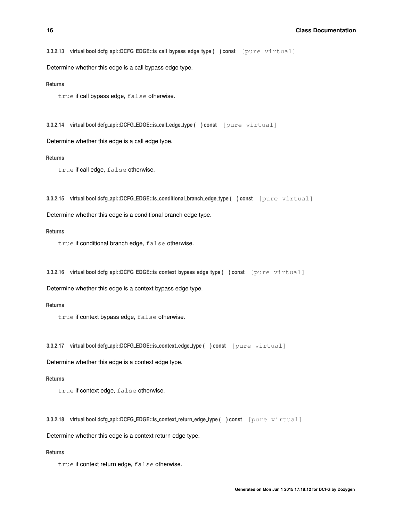<span id="page-23-12"></span><span id="page-23-0"></span>**3.3.2.13 virtual bool dcfg api::DCFG EDGE::is call bypass edge type ( ) const** [pure virtual]

Determine whether this edge is a call bypass edge type.

#### **Returns**

true if call bypass edge, false otherwise.

<span id="page-23-6"></span><span id="page-23-1"></span>**3.3.2.14 virtual bool dcfg api::DCFG EDGE::is call edge type ( ) const** [pure virtual]

Determine whether this edge is a call edge type.

#### **Returns**

true if call edge, false otherwise.

<span id="page-23-7"></span><span id="page-23-2"></span>**3.3.2.15 virtual bool dcfg api::DCFG EDGE::is conditional branch edge type ( ) const** [pure virtual]

Determine whether this edge is a conditional branch edge type.

#### **Returns**

true if conditional branch edge, false otherwise.

<span id="page-23-8"></span><span id="page-23-3"></span>**3.3.2.16 virtual bool dcfg api::DCFG EDGE::is context bypass edge type ( ) const** [pure virtual]

Determine whether this edge is a context bypass edge type.

#### **Returns**

true if context bypass edge, false otherwise.

<span id="page-23-9"></span><span id="page-23-4"></span>**3.3.2.17 virtual bool dcfg api::DCFG EDGE::is context edge type ( ) const** [pure virtual]

Determine whether this edge is a context edge type.

#### **Returns**

true if context edge, false otherwise.

<span id="page-23-10"></span><span id="page-23-5"></span>**3.3.2.18 virtual bool dcfg api::DCFG EDGE::is context return edge type ( ) const** [pure virtual]

Determine whether this edge is a context return edge type.

## **Returns**

<span id="page-23-11"></span>true if context return edge, false otherwise.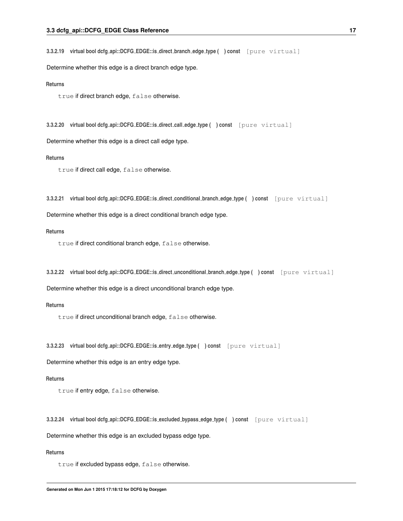<span id="page-24-12"></span><span id="page-24-0"></span>**3.3.2.19 virtual bool dcfg api::DCFG EDGE::is direct branch edge type ( ) const** [pure virtual]

Determine whether this edge is a direct branch edge type.

#### **Returns**

true if direct branch edge, false otherwise.

<span id="page-24-6"></span><span id="page-24-1"></span>**3.3.2.20 virtual bool dcfg api::DCFG EDGE::is direct call edge type ( ) const** [pure virtual]

Determine whether this edge is a direct call edge type.

#### **Returns**

true if direct call edge, false otherwise.

<span id="page-24-7"></span><span id="page-24-2"></span>**3.3.2.21 virtual bool dcfg api::DCFG EDGE::is direct conditional branch edge type ( ) const** [pure virtual]

Determine whether this edge is a direct conditional branch edge type.

#### **Returns**

true if direct conditional branch edge, false otherwise.

<span id="page-24-8"></span><span id="page-24-3"></span>**3.3.2.22 virtual bool dcfg api::DCFG EDGE::is direct unconditional branch edge type ( ) const** [pure virtual]

Determine whether this edge is a direct unconditional branch edge type.

#### **Returns**

true if direct unconditional branch edge, false otherwise.

<span id="page-24-9"></span><span id="page-24-4"></span>**3.3.2.23 virtual bool dcfg api::DCFG EDGE::is entry edge type ( ) const** [pure virtual]

Determine whether this edge is an entry edge type.

#### **Returns**

true if entry edge, false otherwise.

<span id="page-24-10"></span><span id="page-24-5"></span>**3.3.2.24 virtual bool dcfg api::DCFG EDGE::is excluded bypass edge type ( ) const** [pure virtual]

Determine whether this edge is an excluded bypass edge type.

## **Returns**

<span id="page-24-11"></span>true if excluded bypass edge, false otherwise.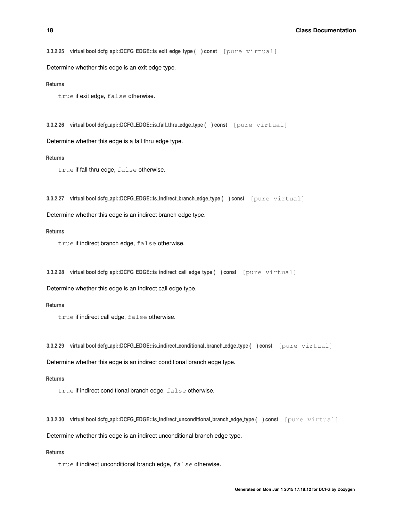<span id="page-25-12"></span><span id="page-25-0"></span>**3.3.2.25 virtual bool dcfg api::DCFG EDGE::is exit edge type ( ) const** [pure virtual]

Determine whether this edge is an exit edge type.

#### **Returns**

true if exit edge, false otherwise.

<span id="page-25-6"></span><span id="page-25-1"></span>**3.3.2.26 virtual bool dcfg api::DCFG EDGE::is fall thru edge type ( ) const** [pure virtual]

Determine whether this edge is a fall thru edge type.

#### **Returns**

true if fall thru edge, false otherwise.

<span id="page-25-7"></span><span id="page-25-2"></span>**3.3.2.27 virtual bool dcfg api::DCFG EDGE::is indirect branch edge type ( ) const** [pure virtual]

Determine whether this edge is an indirect branch edge type.

#### **Returns**

true if indirect branch edge, false otherwise.

<span id="page-25-8"></span><span id="page-25-3"></span>**3.3.2.28 virtual bool dcfg api::DCFG EDGE::is indirect call edge type ( ) const** [pure virtual]

Determine whether this edge is an indirect call edge type.

#### **Returns**

true if indirect call edge, false otherwise.

<span id="page-25-9"></span><span id="page-25-4"></span>**3.3.2.29 virtual bool dcfg api::DCFG EDGE::is indirect conditional branch edge type ( ) const** [pure virtual]

Determine whether this edge is an indirect conditional branch edge type.

#### **Returns**

true if indirect conditional branch edge, false otherwise.

<span id="page-25-10"></span><span id="page-25-5"></span>**3.3.2.30 virtual bool dcfg api::DCFG EDGE::is indirect unconditional branch edge type ( ) const** [pure virtual]

Determine whether this edge is an indirect unconditional branch edge type.

## **Returns**

<span id="page-25-11"></span>true if indirect unconditional branch edge, false otherwise.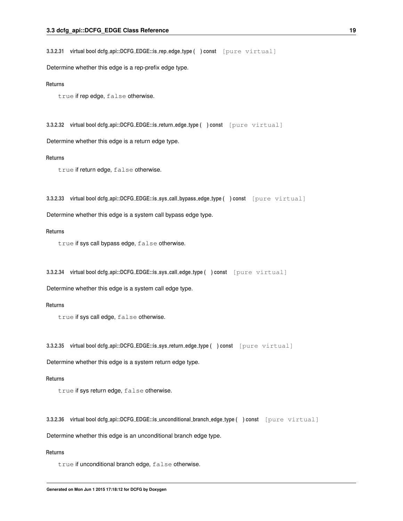<span id="page-26-12"></span><span id="page-26-0"></span>**3.3.2.31 virtual bool dcfg api::DCFG EDGE::is rep edge type ( ) const** [pure virtual]

Determine whether this edge is a rep-prefix edge type.

#### **Returns**

true if rep edge, false otherwise.

<span id="page-26-6"></span><span id="page-26-1"></span>**3.3.2.32 virtual bool dcfg api::DCFG EDGE::is return edge type ( ) const** [pure virtual]

Determine whether this edge is a return edge type.

#### **Returns**

true if return edge, false otherwise.

<span id="page-26-7"></span><span id="page-26-2"></span>**3.3.2.33 virtual bool dcfg api::DCFG EDGE::is sys call bypass edge type ( ) const** [pure virtual]

Determine whether this edge is a system call bypass edge type.

#### **Returns**

true if sys call bypass edge, false otherwise.

<span id="page-26-8"></span><span id="page-26-3"></span>**3.3.2.34 virtual bool dcfg api::DCFG EDGE::is sys call edge type ( ) const** [pure virtual]

Determine whether this edge is a system call edge type.

#### **Returns**

true if sys call edge, false otherwise.

<span id="page-26-9"></span><span id="page-26-4"></span>**3.3.2.35 virtual bool dcfg api::DCFG EDGE::is sys return edge type ( ) const** [pure virtual]

Determine whether this edge is a system return edge type.

#### **Returns**

true if sys return edge, false otherwise.

<span id="page-26-10"></span><span id="page-26-5"></span>**3.3.2.36 virtual bool dcfg api::DCFG EDGE::is unconditional branch edge type ( ) const** [pure virtual]

Determine whether this edge is an unconditional branch edge type.

## **Returns**

<span id="page-26-11"></span>true if unconditional branch edge, false otherwise.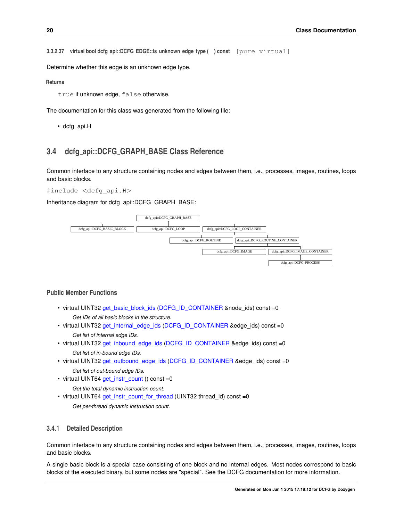<span id="page-27-4"></span><span id="page-27-0"></span>**3.3.2.37 virtual bool dcfg api::DCFG EDGE::is unknown edge type ( ) const** [pure virtual]

Determine whether this edge is an unknown edge type.

#### **Returns**

true if unknown edge, false otherwise.

The documentation for this class was generated from the following file:

<span id="page-27-3"></span>• dcfg\_api.H

## <span id="page-27-1"></span>**3.4 dcfg api::DCFG GRAPH BASE Class Reference**

Common interface to any structure containing nodes and edges between them, i.e., processes, images, routines, loops and basic blocks.

#include <dcfg\_api.H>

Inheritance diagram for dcfg\_api::DCFG\_GRAPH\_BASE:



#### **Public Member Functions**

- virtual UINT32 [get\\_basic\\_block\\_ids](#page-28-1) [\(DCFG\\_ID\\_CONTAINER](#page-29-3) &node\_ids) const =0 *Get IDs of all basic blocks in the structure.*
- virtual UINT32 [get\\_internal\\_edge\\_ids](#page-29-4) [\(DCFG\\_ID\\_CONTAINER](#page-29-3) &edge\_ids) const =0 *Get list of internal edge IDs.*
- virtual UINT32 [get\\_inbound\\_edge\\_ids](#page-28-7) [\(DCFG\\_ID\\_CONTAINER](#page-29-3) &edge\_ids) const =0 *Get list of in-bound edge IDs.*
- virtual UINT32 [get\\_outbound\\_edge\\_ids](#page-29-5) [\(DCFG\\_ID\\_CONTAINER](#page-29-3) &edge\_ids) const =0 *Get list of out-bound edge IDs.*
- virtual UINT64 [get\\_instr\\_count](#page-28-5) () const =0 *Get the total dynamic instruction count.*
- virtual UINT64 [get\\_instr\\_count\\_for\\_thread](#page-28-6) (UINT32 thread\_id) const =0 *Get per-thread dynamic instruction count.*

#### <span id="page-27-2"></span>**3.4.1 Detailed Description**

Common interface to any structure containing nodes and edges between them, i.e., processes, images, routines, loops and basic blocks.

A single basic block is a special case consisting of one block and no internal edges. Most nodes correspond to basic blocks of the executed binary, but some nodes are "special". See the DCFG documentation for more information.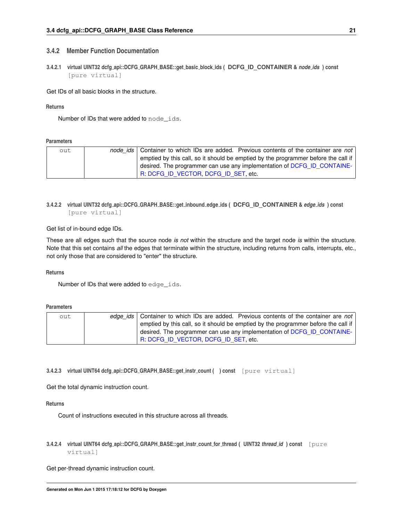## <span id="page-28-8"></span><span id="page-28-0"></span>**3.4.2 Member Function Documentation**

<span id="page-28-1"></span>**3.4.2.1 virtual UINT32 dcfg api::DCFG GRAPH BASE::get basic block ids ( DCFG\_ID\_CONTAINER &** *node ids* **) const** [pure virtual]

Get IDs of all basic blocks in the structure.

#### **Returns**

Number of IDs that were added to node\_ids.

**Parameters**

| out | node ids   Container to which IDs are added. Previous contents of the container are not |
|-----|-----------------------------------------------------------------------------------------|
|     | emptied by this call, so it should be emptied by the programmer before the call if      |
|     | desired. The programmer can use any implementation of DCFG ID CONTAINE-                 |
|     | R. DCFG ID VECTOR. DCFG ID SET. etc.                                                    |

## <span id="page-28-7"></span><span id="page-28-2"></span>**3.4.2.2 virtual UINT32 dcfg api::DCFG GRAPH BASE::get inbound edge ids ( DCFG\_ID\_CONTAINER &** *edge ids* **) const** [pure virtual]

Get list of in-bound edge IDs.

These are all edges such that the source node *is not* within the structure and the target node *is* within the structure. Note that this set contains *all* the edges that terminate within the structure, including returns from calls, interrupts, etc., not only those that are considered to "enter" the structure.

**Returns**

Number of IDs that were added to edge\_ids.

#### **Parameters**

| out | edge ids   Container to which IDs are added. Previous contents of the container are not |
|-----|-----------------------------------------------------------------------------------------|
|     | emptied by this call, so it should be emptied by the programmer before the call if      |
|     | desired. The programmer can use any implementation of DCFG ID CONTAINE-                 |
|     | R: DCFG ID VECTOR, DCFG ID SET, etc.                                                    |

<span id="page-28-5"></span><span id="page-28-3"></span>**3.4.2.3 virtual UINT64 dcfg api::DCFG GRAPH BASE::get instr count ( ) const** [pure virtual]

Get the total dynamic instruction count.

#### **Returns**

<span id="page-28-6"></span>Count of instructions executed in this structure across all threads.

<span id="page-28-4"></span>**3.4.2.4 virtual UINT64 dcfg api::DCFG GRAPH BASE::get instr count for thread ( UINT32** *thread id* **) const** [pure virtual]

Get per-thread dynamic instruction count.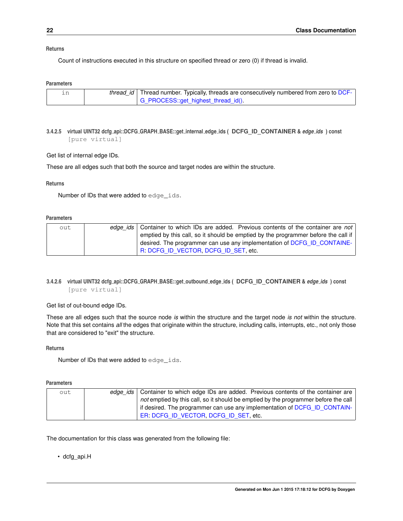#### <span id="page-29-6"></span>**Returns**

Count of instructions executed in this structure on specified thread or zero (0) if thread is invalid.

#### **Parameters**

|  | thread_id   Thread number. Typically, threads are consecutively numbered from zero to DCF- |
|--|--------------------------------------------------------------------------------------------|
|  | G_PROCESS::get_highest_thread_id().                                                        |

<span id="page-29-4"></span><span id="page-29-0"></span>**3.4.2.5 virtual UINT32 dcfg api::DCFG GRAPH BASE::get internal edge ids ( DCFG\_ID\_CONTAINER &** *edge ids* **) const** [pure virtual]

Get list of internal edge IDs.

These are all edges such that both the source and target nodes are within the structure.

#### **Returns**

Number of IDs that were added to edge\_ids.

#### **Parameters**

| out | edge ids   Container to which IDs are added. Previous contents of the container are not |
|-----|-----------------------------------------------------------------------------------------|
|     | emptied by this call, so it should be emptied by the programmer before the call if      |
|     | desired. The programmer can use any implementation of DCFG ID CONTAINE-                 |
|     | R. DCFG ID VECTOR, DCFG ID SET, etc.                                                    |

## <span id="page-29-5"></span><span id="page-29-1"></span>**3.4.2.6 virtual UINT32 dcfg api::DCFG GRAPH BASE::get outbound edge ids ( DCFG\_ID\_CONTAINER &** *edge ids* **) const** [pure virtual]

Get list of out-bound edge IDs.

These are all edges such that the source node *is* within the structure and the target node *is not* within the structure. Note that this set contains *all* the edges that originate within the structure, including calls, interrupts, etc., not only those that are considered to "exit" the structure.

**Returns**

Number of IDs that were added to edge\_ids.

#### **Parameters**

| out | edge ids   Container to which edge IDs are added. Previous contents of the container are |
|-----|------------------------------------------------------------------------------------------|
|     | not emptied by this call, so it should be emptied by the programmer before the call      |
|     | if desired. The programmer can use any implementation of DCFG ID CONTAIN-                |
|     | ER DCFG ID VECTOR DCFG ID SET etc.                                                       |

#### The documentation for this class was generated from the following file:

<span id="page-29-3"></span><span id="page-29-2"></span>• dcfg\_api.H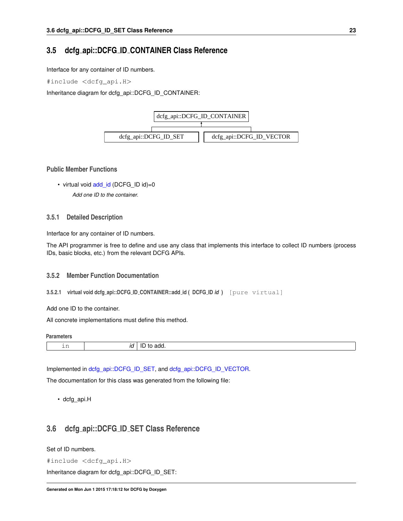## <span id="page-30-5"></span>**3.5 dcfg api::DCFG ID CONTAINER Class Reference**

Interface for any container of ID numbers.

#include <dcfg\_api.H>

Inheritance diagram for dcfg\_api::DCFG\_ID\_CONTAINER:



#### **Public Member Functions**

• virtual void [add\\_id](#page-30-2) (DCFG\_ID id)=0 *Add one ID to the container.*

#### <span id="page-30-0"></span>**3.5.1 Detailed Description**

Interface for any container of ID numbers.

The API programmer is free to define and use any class that implements this interface to collect ID numbers (process IDs, basic blocks, etc.) from the relevant DCFG APIs.

#### <span id="page-30-1"></span>**3.5.2 Member Function Documentation**

<span id="page-30-2"></span>**3.5.2.1 virtual void dcfg api::DCFG ID CONTAINER::add id ( DCFG ID** *id* **)** [pure virtual]

Add one ID to the container.

All concrete implementations must define this method.

**Parameters**

|     | ,, | . |
|-----|----|---|
| --- | __ |   |

Implemented in [dcfg\\_api::DCFG\\_ID\\_SET,](#page-31-2) and [dcfg\\_api::DCFG\\_ID\\_VECTOR.](#page-32-2)

The documentation for this class was generated from the following file:

• dcfg\_api.H

## <span id="page-30-4"></span><span id="page-30-3"></span>**3.6 dcfg api::DCFG ID SET Class Reference**

Set of ID numbers.

#include <dcfg\_api.H>

Inheritance diagram for dcfg\_api::DCFG\_ID\_SET: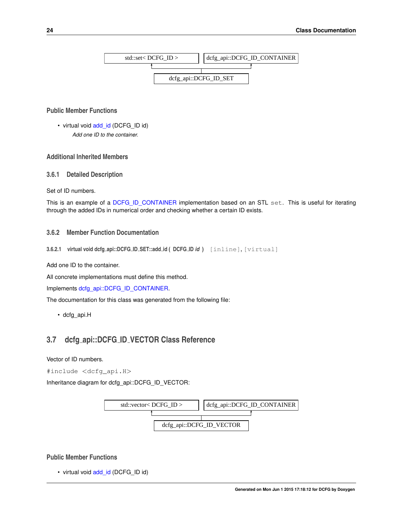<span id="page-31-5"></span>

## **Public Member Functions**

• virtual void add id (DCFG ID id) *Add one ID to the container.*

## **Additional Inherited Members**

#### <span id="page-31-0"></span>**3.6.1 Detailed Description**

Set of ID numbers.

This is an example of a [DCFG\\_ID\\_CONTAINER](#page-29-3) implementation based on an STL set. This is useful for iterating through the added IDs in numerical order and checking whether a certain ID exists.

#### <span id="page-31-1"></span>**3.6.2 Member Function Documentation**

<span id="page-31-2"></span>**3.6.2.1 virtual void dcfg api::DCFG ID SET::add id ( DCFG ID** *id* **)** [inline]**,** [virtual]

Add one ID to the container.

All concrete implementations must define this method.

Implements [dcfg\\_api::DCFG\\_ID\\_CONTAINER.](#page-30-2)

The documentation for this class was generated from the following file:

<span id="page-31-4"></span>• dcfg\_api.H

## <span id="page-31-3"></span>**3.7 dcfg api::DCFG ID VECTOR Class Reference**

Vector of ID numbers.

#include <dcfg\_api.H>

Inheritance diagram for dcfg\_api::DCFG\_ID\_VECTOR:



## **Public Member Functions**

• virtual void [add\\_id](#page-32-2) (DCFG\_ID id)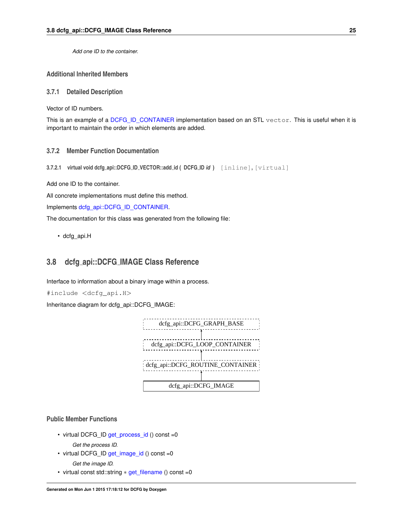<span id="page-32-5"></span>*Add one ID to the container.*

## **Additional Inherited Members**

#### <span id="page-32-0"></span>**3.7.1 Detailed Description**

Vector of ID numbers.

This is an example of a [DCFG\\_ID\\_CONTAINER](#page-29-3) implementation based on an STL vector. This is useful when it is important to maintain the order in which elements are added.

#### <span id="page-32-1"></span>**3.7.2 Member Function Documentation**

<span id="page-32-2"></span>**3.7.2.1 virtual void dcfg api::DCFG ID VECTOR::add id ( DCFG ID** *id* **)** [inline]**,** [virtual]

Add one ID to the container.

All concrete implementations must define this method.

Implements [dcfg\\_api::DCFG\\_ID\\_CONTAINER.](#page-30-2)

The documentation for this class was generated from the following file:

• dcfg\_api.H

## <span id="page-32-4"></span><span id="page-32-3"></span>**3.8 dcfg api::DCFG IMAGE Class Reference**

Interface to information about a binary image within a process.

#include <dcfg\_api.H>

Inheritance diagram for dcfg\_api::DCFG\_IMAGE:



#### **Public Member Functions**

- virtual DCFG\_ID [get\\_process\\_id](#page-34-5) () const =0
	- *Get the process ID.*
- virtual DCFG\_ID [get\\_image\\_id](#page-34-6) () const =0
	- *Get the image ID.*
- virtual const std::string ∗ [get\\_filename](#page-33-5) () const =0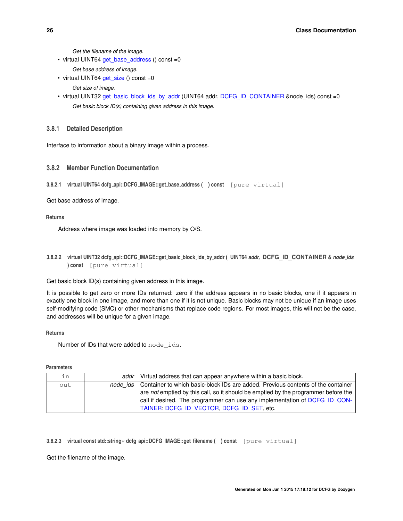*Get the filename of the image.*

- <span id="page-33-7"></span>• virtual UINT64 [get\\_base\\_address](#page-33-2) () const =0
	- *Get base address of image.*
- virtual UINT64 get size () const =0
	- *Get size of image.*
- virtual UINT32 [get\\_basic\\_block\\_ids\\_by\\_addr](#page-33-6) (UINT64 addr, [DCFG\\_ID\\_CONTAINER](#page-29-3) &node\_ids) const =0 *Get basic block ID(s) containing given address in this image.*

### <span id="page-33-0"></span>**3.8.1 Detailed Description**

Interface to information about a binary image within a process.

#### <span id="page-33-1"></span>**3.8.2 Member Function Documentation**

<span id="page-33-2"></span>**3.8.2.1 virtual UINT64 dcfg api::DCFG IMAGE::get base address ( ) const** [pure virtual]

Get base address of image.

#### **Returns**

Address where image was loaded into memory by O/S.

<span id="page-33-6"></span><span id="page-33-3"></span>**3.8.2.2 virtual UINT32 dcfg api::DCFG IMAGE::get basic block ids by addr ( UINT64** *addr,* **DCFG\_ID\_CONTAINER &** *node ids* **) const** [pure virtual]

Get basic block ID(s) containing given address in this image.

It is possible to get zero or more IDs returned: zero if the address appears in no basic blocks, one if it appears in exactly one block in one image, and more than one if it is not unique. Basic blocks may not be unique if an image uses self-modifying code (SMC) or other mechanisms that replace code regions. For most images, this will not be the case, and addresses will be unique for a given image.

#### **Returns**

Number of IDs that were added to node ids.

**Parameters**

| in  | addr I          | Virtual address that can appear anywhere within a basic block.                     |
|-----|-----------------|------------------------------------------------------------------------------------|
| out | node $ids \mid$ | Container to which basic-block IDs are added. Previous contents of the container   |
|     |                 | are not emptied by this call, so it should be emptied by the programmer before the |
|     |                 | call if desired. The programmer can use any implementation of DCFG ID CON-         |
|     |                 | TAINER: DCFG ID VECTOR, DCFG ID SET, etc.                                          |

<span id="page-33-5"></span><span id="page-33-4"></span>**3.8.2.3 virtual const std::string**∗ **dcfg api::DCFG IMAGE::get filename ( ) const** [pure virtual]

Get the filename of the image.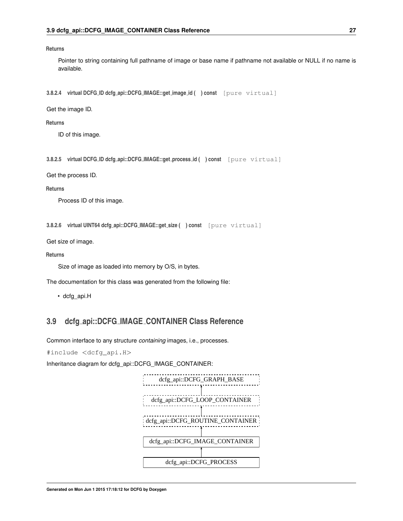#### <span id="page-34-8"></span>**Returns**

Pointer to string containing full pathname of image or base name if pathname not available or NULL if no name is available.

<span id="page-34-6"></span><span id="page-34-0"></span>**3.8.2.4 virtual DCFG ID dcfg api::DCFG IMAGE::get image id ( ) const** [pure virtual]

Get the image ID.

**Returns**

ID of this image.

<span id="page-34-5"></span><span id="page-34-1"></span>**3.8.2.5 virtual DCFG ID dcfg api::DCFG IMAGE::get process id ( ) const** [pure virtual]

Get the process ID.

#### **Returns**

<span id="page-34-7"></span>Process ID of this image.

<span id="page-34-2"></span>**3.8.2.6 virtual UINT64 dcfg api::DCFG IMAGE::get size ( ) const** [pure virtual]

Get size of image.

**Returns**

Size of image as loaded into memory by O/S, in bytes.

The documentation for this class was generated from the following file:

<span id="page-34-4"></span>• dcfg\_api.H

## <span id="page-34-3"></span>**3.9 dcfg api::DCFG IMAGE CONTAINER Class Reference**

Common interface to any structure *containing* images, i.e., processes.

#include <dcfg\_api.H>

Inheritance diagram for dcfg\_api::DCFG\_IMAGE\_CONTAINER:

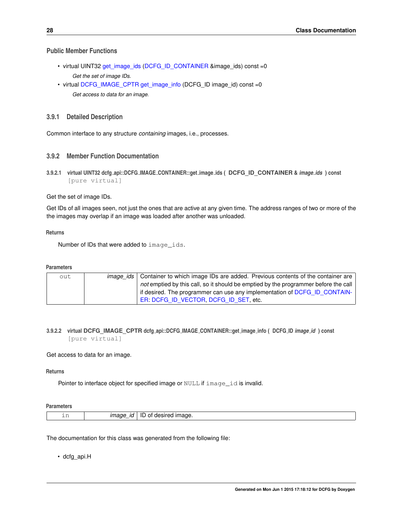## <span id="page-35-7"></span>**Public Member Functions**

- virtual UINT32 get image\_ids [\(DCFG\\_ID\\_CONTAINER](#page-29-3) &image\_ids) const =0 *Get the set of image IDs.*
- virtual [DCFG\\_IMAGE\\_CPTR](#page-32-4) [get\\_image\\_info](#page-35-6) (DCFG\_ID image\_id) const =0 *Get access to data for an image.*

## <span id="page-35-0"></span>**3.9.1 Detailed Description**

Common interface to any structure *containing* images, i.e., processes.

## <span id="page-35-1"></span>**3.9.2 Member Function Documentation**

<span id="page-35-2"></span>**3.9.2.1 virtual UINT32 dcfg api::DCFG IMAGE CONTAINER::get image ids ( DCFG\_ID\_CONTAINER &** *image ids* **) const** [pure virtual]

#### Get the set of image IDs.

Get IDs of all images seen, not just the ones that are active at any given time. The address ranges of two or more of the the images may overlap if an image was loaded after another was unloaded.

#### **Returns**

Number of IDs that were added to image\_ids.

#### **Parameters**

| out | <i>image ids</i>   Container to which image IDs are added. Previous contents of the container are |
|-----|---------------------------------------------------------------------------------------------------|
|     | not emptied by this call, so it should be emptied by the programmer before the call               |
|     | if desired. The programmer can use any implementation of DCFG ID CONTAIN-                         |
|     | ER DCFG ID VECTOR DCFG ID SET etc.                                                                |

## <span id="page-35-6"></span><span id="page-35-3"></span>**3.9.2.2 virtual DCFG\_IMAGE\_CPTR dcfg api::DCFG IMAGE CONTAINER::get image info ( DCFG ID** *image id* **) const** [pure virtual]

Get access to data for an image.

#### **Returns**

Pointer to interface object for specified image or NULL if image\_id is invalid.

#### **Parameters**

| --<br>--- | – |  |
|-----------|---|--|

The documentation for this class was generated from the following file:

<span id="page-35-5"></span><span id="page-35-4"></span>• dcfg\_api.H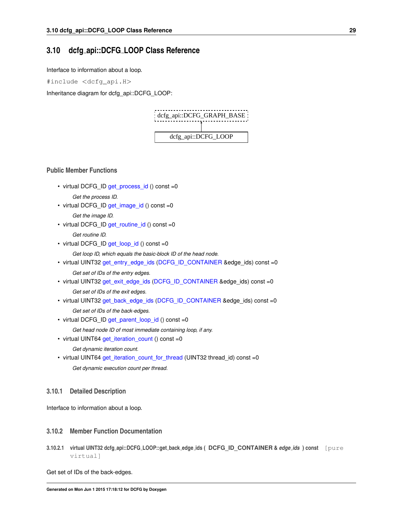## <span id="page-36-3"></span>**3.10 dcfg api::DCFG LOOP Class Reference**

Interface to information about a loop.

#include <dcfg\_api.H>

Inheritance diagram for dcfg\_api::DCFG\_LOOP:



#### **Public Member Functions**

- virtual DCFG\_ID [get\\_process\\_id](#page-39-4) () const =0 *Get the process ID.*
- virtual DCFG\_ID [get\\_image\\_id](#page-38-0) () const =0 *Get the image ID.*
- virtual DCFG\_ID [get\\_routine\\_id](#page-39-5) () const =0

*Get routine ID.*

- virtual DCFG\_ID [get\\_loop\\_id](#page-38-5) () const =0
	- *Get loop ID, which equals the basic-block ID of the head node.*
- virtual UINT32 [get\\_entry\\_edge\\_ids](#page-37-2) [\(DCFG\\_ID\\_CONTAINER](#page-29-3) &edge\_ids) const =0
	- *Get set of IDs of the entry edges.*
- virtual UINT32 [get\\_exit\\_edge\\_ids](#page-37-3) [\(DCFG\\_ID\\_CONTAINER](#page-29-3) &edge\_ids) const =0
	- *Get set of IDs of the exit edges.*
- virtual UINT32 [get\\_back\\_edge\\_ids](#page-36-2) [\(DCFG\\_ID\\_CONTAINER](#page-29-3) &edge\_ids) const =0 *Get set of IDs of the back-edges.*
- virtual DCFG\_ID [get\\_parent\\_loop\\_id](#page-38-6) () const =0

*Get head node ID of most immediate containing loop, if any.*

- virtual UINT64 [get\\_iteration\\_count](#page-38-7) () const =0
	- *Get dynamic iteration count.*
- virtual UINT64 [get\\_iteration\\_count\\_for\\_thread](#page-38-8) (UINT32 thread\_id) const =0

*Get dynamic execution count per thread.*

#### <span id="page-36-0"></span>**3.10.1 Detailed Description**

Interface to information about a loop.

## <span id="page-36-1"></span>**3.10.2 Member Function Documentation**

<span id="page-36-2"></span>**3.10.2.1 virtual UINT32 dcfg api::DCFG LOOP::get back edge ids ( DCFG\_ID\_CONTAINER &** *edge ids* **) const** [pure virtual]

Get set of IDs of the back-edges.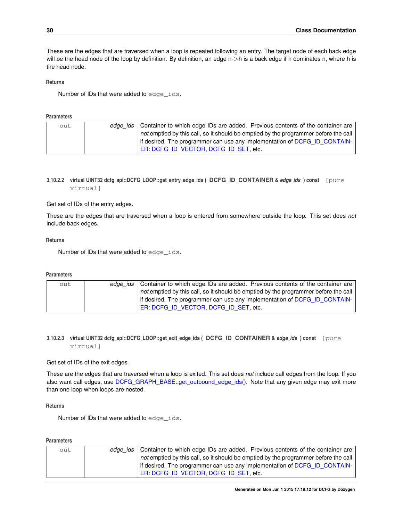<span id="page-37-4"></span>These are the edges that are traversed when a loop is repeated following an entry. The target node of each back edge will be the head node of the loop by definition. By definition, an edge  $n$ ->h is a back edge if h dominates n, where h is the head node.

#### **Returns**

Number of IDs that were added to edge\_ids.

#### **Parameters**

| out | edge ids   Container to which edge IDs are added. Previous contents of the container are |
|-----|------------------------------------------------------------------------------------------|
|     | not emptied by this call, so it should be emptied by the programmer before the call      |
|     | if desired. The programmer can use any implementation of DCFG ID CONTAIN-                |
|     | ER DCFG ID VECTOR DCFG ID SET etc.                                                       |

### <span id="page-37-2"></span><span id="page-37-0"></span>**3.10.2.2 virtual UINT32 dcfg api::DCFG LOOP::get entry edge ids ( DCFG\_ID\_CONTAINER &** *edge ids* **) const** [pure virtual]

#### Get set of IDs of the entry edges.

These are the edges that are traversed when a loop is entered from somewhere outside the loop. This set does *not* include back edges.

**Returns**

Number of IDs that were added to edge\_ids.

#### **Parameters**

| out | edge ids   Container to which edge IDs are added. Previous contents of the container are |
|-----|------------------------------------------------------------------------------------------|
|     | not emptied by this call, so it should be emptied by the programmer before the call      |
|     | if desired. The programmer can use any implementation of DCFG ID CONTAIN-                |
|     | ER DCFG ID VECTOR DCFG ID SET etc.                                                       |

#### <span id="page-37-3"></span><span id="page-37-1"></span>**3.10.2.3 virtual UINT32 dcfg api::DCFG LOOP::get exit edge ids ( DCFG\_ID\_CONTAINER &** *edge ids* **) const** [pure virtual]

#### Get set of IDs of the exit edges.

These are the edges that are traversed when a loop is exited. This set does *not* include call edges from the loop. If you also want call edges, use [DCFG\\_GRAPH\\_BASE::get\\_outbound\\_edge\\_ids\(\).](#page-29-5) Note that any given edge may exit more than one loop when loops are nested.

#### **Returns**

Number of IDs that were added to edge\_ids.

#### **Parameters**

| out | edge ids   Container to which edge IDs are added. Previous contents of the container are |
|-----|------------------------------------------------------------------------------------------|
|     | not emptied by this call, so it should be emptied by the programmer before the call      |
|     | if desired. The programmer can use any implementation of DCFG ID CONTAIN-                |
|     | ER DCFG ID VECTOR DCFG ID SET etc.                                                       |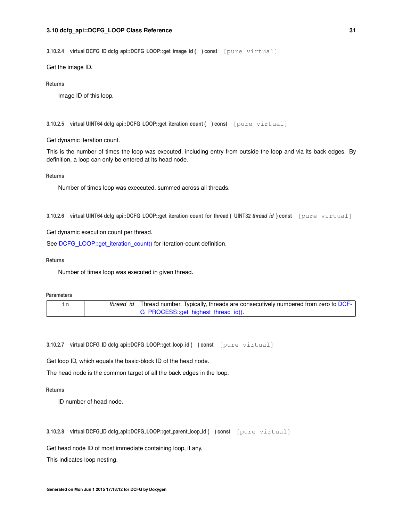<span id="page-38-9"></span><span id="page-38-0"></span>**3.10.2.4 virtual DCFG ID dcfg api::DCFG LOOP::get image id ( ) const** [pure virtual]

Get the image ID.

#### **Returns**

Image ID of this loop.

```
3.10.2.5 virtual UINT64 dcfg api::DCFG LOOP::get iteration count ( ) const [pure virtual]
```
Get dynamic iteration count.

This is the number of times the loop was executed, including entry from outside the loop and via its back edges. By definition, a loop can only be entered at its head node.

#### **Returns**

Number of times loop was execcuted, summed across all threads.

<span id="page-38-8"></span><span id="page-38-2"></span>**3.10.2.6 virtual UINT64 dcfg api::DCFG LOOP::get iteration count for thread ( UINT32** *thread id* **) const** [pure virtual]

Get dynamic execution count per thread.

See [DCFG\\_LOOP::get\\_iteration\\_count\(\)](#page-38-7) for iteration-count definition.

#### **Returns**

Number of times loop was executed in given thread.

#### **Parameters**

|  | thread id   Thread number. Typically, threads are consecutively numbered from zero to DCF- |
|--|--------------------------------------------------------------------------------------------|
|  | G_PROCESS::get_highest_thread_id().                                                        |

<span id="page-38-5"></span><span id="page-38-3"></span>**3.10.2.7 virtual DCFG ID dcfg api::DCFG LOOP::get loop id ( ) const** [pure virtual]

Get loop ID, which equals the basic-block ID of the head node.

The head node is the common target of all the back edges in the loop.

#### **Returns**

<span id="page-38-6"></span>ID number of head node.

<span id="page-38-4"></span>**3.10.2.8 virtual DCFG ID dcfg api::DCFG LOOP::get parent loop id ( ) const** [pure virtual]

Get head node ID of most immediate containing loop, if any.

This indicates loop nesting.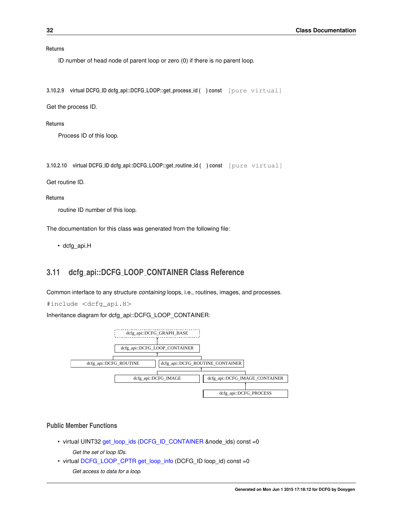#### <span id="page-39-6"></span>**Returns**

ID number of head node of parent loop or zero (0) if there is no parent loop.

<span id="page-39-4"></span><span id="page-39-0"></span>**3.10.2.9 virtual DCFG ID dcfg api::DCFG LOOP::get process id ( ) const** [pure virtual]

Get the process ID.

#### **Returns**

Process ID of this loop.

<span id="page-39-5"></span><span id="page-39-1"></span>**3.10.2.10 virtual DCFG ID dcfg api::DCFG LOOP::get routine id ( ) const** [pure virtual]

Get routine ID.

#### **Returns**

routine ID number of this loop.

The documentation for this class was generated from the following file:

• dcfg\_api.H

## <span id="page-39-3"></span><span id="page-39-2"></span>**3.11 dcfg api::DCFG LOOP CONTAINER Class Reference**

Common interface to any structure *containing* loops, i.e., routines, images, and processes.

#include <dcfg\_api.H>

Inheritance diagram for dcfg\_api::DCFG\_LOOP\_CONTAINER:



#### **Public Member Functions**

- virtual UINT32 [get\\_loop\\_ids](#page-40-2) [\(DCFG\\_ID\\_CONTAINER](#page-29-3) &node\_ids) const =0 *Get the set of loop IDs.*
- virtual [DCFG\\_LOOP\\_CPTR](#page-35-5) [get\\_loop\\_info](#page-40-6) (DCFG\_ID loop\_id) const =0

*Get access to data for a loop.*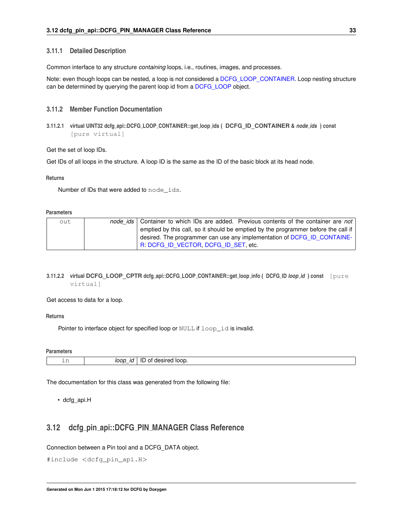#### <span id="page-40-7"></span><span id="page-40-0"></span>**3.11.1 Detailed Description**

Common interface to any structure *containing* loops, i.e., routines, images, and processes.

Note: even though loops can be nested, a loop is not considered a [DCFG\\_LOOP\\_CONTAINER.](#page-39-3) Loop nesting structure can be determined by querying the parent loop id from a [DCFG\\_LOOP](#page-35-5) object.

#### <span id="page-40-1"></span>**3.11.2 Member Function Documentation**

<span id="page-40-2"></span>**3.11.2.1 virtual UINT32 dcfg api::DCFG LOOP CONTAINER::get loop ids ( DCFG\_ID\_CONTAINER &** *node ids* **) const** [pure virtual]

Get the set of loop IDs.

Get IDs of all loops in the structure. A loop ID is the same as the ID of the basic block at its head node.

#### **Returns**

Number of IDs that were added to node\_ids.

#### **Parameters**

| out | node ids   Container to which IDs are added. Previous contents of the container are not |
|-----|-----------------------------------------------------------------------------------------|
|     | emptied by this call, so it should be emptied by the programmer before the call if      |
|     | desired. The programmer can use any implementation of DCFG ID CONTAINE-                 |
|     | R. DCFG ID VECTOR. DCFG ID SET. etc.                                                    |

### <span id="page-40-6"></span><span id="page-40-3"></span>**3.11.2.2 virtual DCFG\_LOOP\_CPTR dcfg api::DCFG LOOP CONTAINER::get loop info ( DCFG ID** *loop id* **) const** [pure virtual]

#### Get access to data for a loop.

**Returns**

Pointer to interface object for specified loop or NULL if  $loop\_id$  is invalid.

#### **Parameters**

| --<br><b>LII</b> | Joor<br><br>_ | Ш.<br>n<br>м |
|------------------|---------------|--------------|
|------------------|---------------|--------------|

The documentation for this class was generated from the following file:

• dcfg\_api.H

## <span id="page-40-5"></span><span id="page-40-4"></span>**3.12 dcfg pin api::DCFG PIN MANAGER Class Reference**

Connection between a Pin tool and a DCFG\_DATA object.

```
#include <dcfg_pin_api.H>
```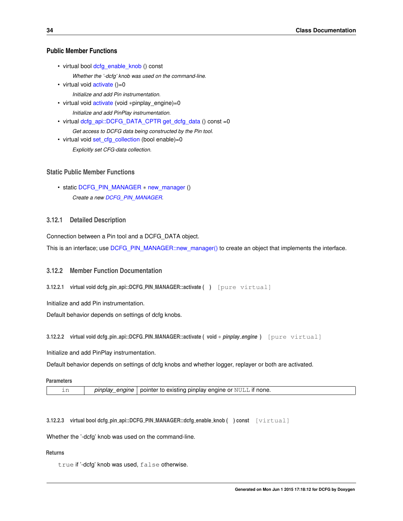## <span id="page-41-8"></span>**Public Member Functions**

- virtual bool [dcfg\\_enable\\_knob](#page-41-5) () const
	- *Whether the '-dcfg' knob was used on the command-line.*
- virtual void [activate](#page-41-2) ()=0
	- *Initialize and add Pin instrumentation.*
- virtual void [activate](#page-41-6) (void ∗pinplay\_engine)=0 *Initialize and add PinPlay instrumentation.*
- virtual [dcfg\\_api::DCFG\\_DATA\\_CPTR](#page-16-3) [get\\_dcfg\\_data](#page-41-7) () const =0 *Get access to DCFG data being constructed by the Pin tool.*
- virtual void [set\\_cfg\\_collection](#page-42-5) (bool enable)=0 *Explicitly set CFG-data collection.*

#### **Static Public Member Functions**

• static [DCFG\\_PIN\\_MANAGER](#page-40-5) ∗ [new\\_manager](#page-42-6) () *Create a new [DCFG\\_PIN\\_MANAGER.](#page-40-5)*

### <span id="page-41-0"></span>**3.12.1 Detailed Description**

Connection between a Pin tool and a DCFG\_DATA object.

This is an interface; use [DCFG\\_PIN\\_MANAGER::new\\_manager\(\)](#page-42-6) to create an object that implements the interface.

#### <span id="page-41-1"></span>**3.12.2 Member Function Documentation**

<span id="page-41-2"></span>**3.12.2.1 virtual void dcfg pin api::DCFG PIN MANAGER::activate ( )** [pure virtual]

Initialize and add Pin instrumentation.

<span id="page-41-6"></span>Default behavior depends on settings of dcfg knobs.

<span id="page-41-3"></span>**3.12.2.2 virtual void dcfg pin api::DCFG PIN MANAGER::activate ( void** ∗ *pinplay engine* **)** [pure virtual]

Initialize and add PinPlay instrumentation.

Default behavior depends on settings of dcfg knobs and whether logger, replayer or both are activated.

#### **Parameters**

<span id="page-41-5"></span>

|  | pinplay_engine   pointer to existing pinplay engine or NULL if none. |
|--|----------------------------------------------------------------------|
|  |                                                                      |

<span id="page-41-4"></span>**3.12.2.3 virtual bool dcfg pin api::DCFG PIN MANAGER::dcfg enable knob ( ) const** [virtual]

Whether the '-dcfg' knob was used on the command-line.

## **Returns**

<span id="page-41-7"></span>true if '-dcfg' knob was used, false otherwise.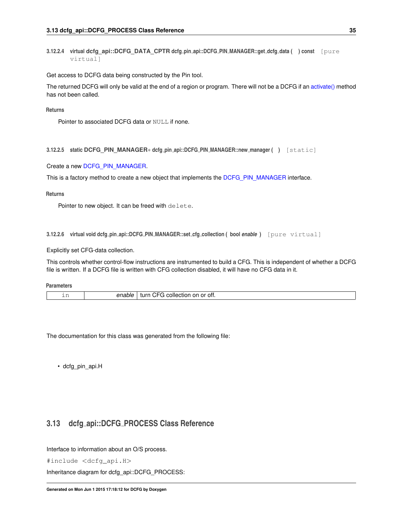<span id="page-42-7"></span><span id="page-42-0"></span>**3.12.2.4 virtual dcfg\_api::DCFG\_DATA\_CPTR dcfg pin api::DCFG PIN MANAGER::get dcfg data ( ) const** [pure virtual]

Get access to DCFG data being constructed by the Pin tool.

The returned DCFG will only be valid at the end of a region or program. There will not be a DCFG if an [activate\(\)](#page-41-2) method has not been called.

**Returns**

<span id="page-42-6"></span>Pointer to associated DCFG data or NULL if none.

<span id="page-42-1"></span>**3.12.2.5 static DCFG\_PIN\_MANAGER**∗ **dcfg pin api::DCFG PIN MANAGER::new manager ( )** [static]

Create a new [DCFG\\_PIN\\_MANAGER.](#page-40-5)

This is a factory method to create a new object that implements the [DCFG\\_PIN\\_MANAGER](#page-40-5) interface.

**Returns**

Pointer to new object. It can be freed with delete.

<span id="page-42-5"></span><span id="page-42-2"></span>**3.12.2.6 virtual void dcfg pin api::DCFG PIN MANAGER::set cfg collection ( bool** *enable* **)** [pure virtual]

Explicitly set CFG-data collection.

This controls whether control-flow instructions are instrumented to build a CFG. This is independent of whether a DCFG file is written. If a DCFG file is written with CFG collection disabled, it will have no CFG data in it.

#### **Parameters**

| --<br>--- | - --<br>--<br>mе<br>. | <br>-----<br>≅ ofi.<br>-rur<br>. nier<br>ΩT<br>זטוו:זי<br>.<br>.<br>$\sim$<br>$-$ |
|-----------|-----------------------|-----------------------------------------------------------------------------------|
|-----------|-----------------------|-----------------------------------------------------------------------------------|

The documentation for this class was generated from the following file:

<span id="page-42-4"></span>• dcfg pin api.H

## <span id="page-42-3"></span>**3.13 dcfg api::DCFG PROCESS Class Reference**

Interface to information about an O/S process.

#include <dcfg\_api.H>

Inheritance diagram for dcfg\_api::DCFG\_PROCESS: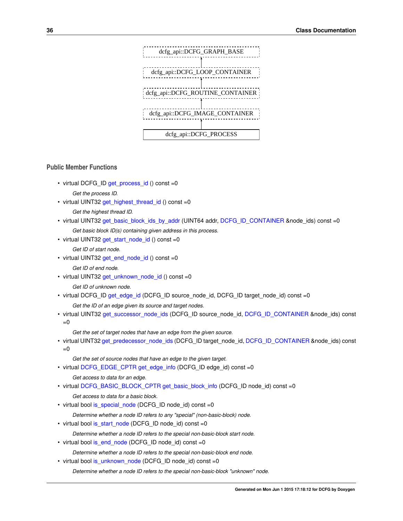

#### **Public Member Functions**

• virtual DCFG\_ID [get\\_process\\_id](#page-46-4) () const =0

*Get the process ID.*

• virtual UINT32 [get\\_highest\\_thread\\_id](#page-45-4) () const =0

*Get the highest thread ID.*

• virtual UINT32 [get\\_basic\\_block\\_ids\\_by\\_addr](#page-44-2) (UINT64 addr, [DCFG\\_ID\\_CONTAINER](#page-29-3) &node\_ids) const =0

*Get basic block ID(s) containing given address in this process.*

• virtual UINT32 [get\\_start\\_node\\_id](#page-46-5) () const =0

*Get ID of start node.*

• virtual UINT32 get end node id () const =0

*Get ID of end node.*

• virtual UINT32 [get\\_unknown\\_node\\_id](#page-46-6) () const =0

*Get ID of unknown node.*

• virtual DCFG\_ID [get\\_edge\\_id](#page-44-5) (DCFG\_ID source\_node\_id, DCFG\_ID target\_node\_id) const =0

*Get the ID of an edge given its source and target nodes.*

• virtual UINT32 [get\\_successor\\_node\\_ids](#page-46-7) (DCFG\_ID source\_node\_id, [DCFG\\_ID\\_CONTAINER](#page-29-3) &node\_ids) const  $=0$ 

*Get the set of target nodes that have an edge from the given source.*

• virtual UINT32 [get\\_predecessor\\_node\\_ids](#page-45-6) (DCFG\_ID target\_node\_id, [DCFG\\_ID\\_CONTAINER](#page-29-3) &node\_ids) const  $=0$ 

*Get the set of source nodes that have an edge to the given target.*

• virtual [DCFG\\_EDGE\\_CPTR](#page-18-4) [get\\_edge\\_info](#page-45-7) (DCFG\_ID edge\_id) const =0

*Get access to data for an edge.*

• virtual [DCFG\\_BASIC\\_BLOCK\\_CPTR](#page-12-1) [get\\_basic\\_block\\_info](#page-44-6) (DCFG\_ID node\_id) const =0

*Get access to data for a basic block.*

• virtual bool [is\\_special\\_node](#page-47-4) (DCFG\_ID node\_id) const =0

*Determine whether a node ID refers to any "special" (non-basic-block) node.*

• virtual bool [is\\_start\\_node](#page-47-5) (DCFG\_ID node\_id) const =0

*Determine whether a node ID refers to the special non-basic-block start node.*

• virtual bool is end node (DCFG\_ID node\_id) const =0

*Determine whether a node ID refers to the special non-basic-block end node.*

• virtual bool [is\\_unknown\\_node](#page-47-7) (DCFG\_ID node\_id) const =0

*Determine whether a node ID refers to the special non-basic-block "unknown" node.*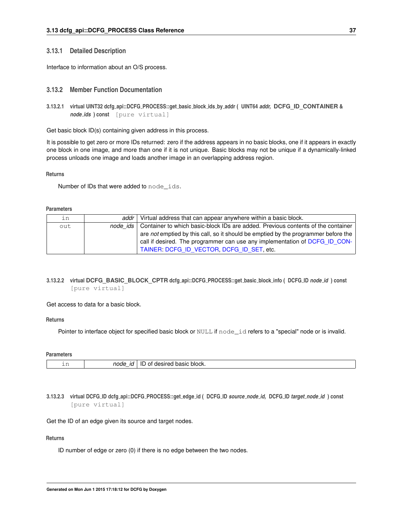#### <span id="page-44-7"></span><span id="page-44-0"></span>**3.13.1 Detailed Description**

Interface to information about an O/S process.

## <span id="page-44-1"></span>**3.13.2 Member Function Documentation**

<span id="page-44-2"></span>**3.13.2.1 virtual UINT32 dcfg api::DCFG PROCESS::get basic block ids by addr ( UINT64** *addr,* **DCFG\_ID\_CONTAINER &** *node ids* **) const** [pure virtual]

Get basic block ID(s) containing given address in this process.

It is possible to get zero or more IDs returned: zero if the address appears in no basic blocks, one if it appears in exactly one block in one image, and more than one if it is not unique. Basic blocks may not be unique if a dynamically-linked process unloads one image and loads another image in an overlapping address region.

**Returns**

Number of IDs that were added to node\_ids.

**Parameters**

| in  | addr I | Virtual address that can appear anywhere within a basic block.                              |
|-----|--------|---------------------------------------------------------------------------------------------|
| out |        | node ids   Container to which basic-block IDs are added. Previous contents of the container |
|     |        | are not emptied by this call, so it should be emptied by the programmer before the          |
|     |        | call if desired. The programmer can use any implementation of DCFG ID CON-                  |
|     |        | TAINER DCFG ID VECTOR DCFG ID SET etc.                                                      |

<span id="page-44-6"></span><span id="page-44-3"></span>**3.13.2.2 virtual DCFG\_BASIC\_BLOCK\_CPTR dcfg api::DCFG PROCESS::get basic block info ( DCFG ID** *node id* **) const** [pure virtual]

### Get access to data for a basic block.

**Returns**

Pointer to interface object for specified basic block or NULL if node\_id refers to a "special" node or is invalid.

**Parameters**

<span id="page-44-5"></span>

| --<br>--- | node<br>-10 | block.<br>pasic<br>IL<br>٦Ρ<br>____<br>---- - |
|-----------|-------------|-----------------------------------------------|

<span id="page-44-4"></span>3.13.2.3 virtual DCFG\_ID dcfg\_api::DCFG\_PROCESS::get\_edge\_id ( DCFG\_ID source\_node\_id, DCFG\_ID target\_node\_id ) const [pure virtual]

Get the ID of an edge given its source and target nodes.

**Returns**

ID number of edge or zero (0) if there is no edge between the two nodes.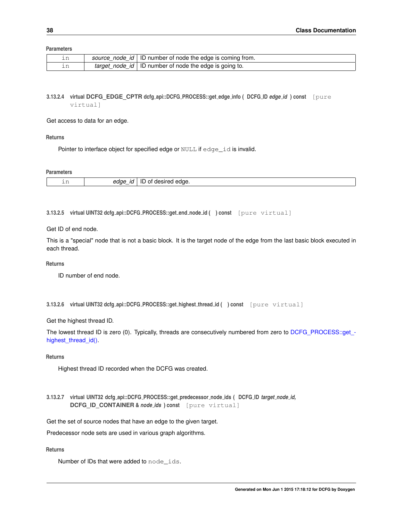<span id="page-45-8"></span>**Parameters**

| source | <i>node id</i>   ID number of node the edge is coming from.     |
|--------|-----------------------------------------------------------------|
|        | <i>target node id</i>   ID number of node the edge is going to. |

### <span id="page-45-7"></span><span id="page-45-0"></span>**3.13.2.4 virtual DCFG\_EDGE\_CPTR dcfg api::DCFG PROCESS::get edge info ( DCFG ID** *edge id* **) const** [pure virtual]

#### Get access to data for an edge.

**Returns**

Pointer to interface object for specified edge or NULL if edge\_id is invalid.

#### **Parameters**

<span id="page-45-5"></span>

| --<br>+ + + | $\epsilon$<br>. .<br>. . | ---- |
|-------------|--------------------------|------|

<span id="page-45-1"></span>**3.13.2.5 virtual UINT32 dcfg api::DCFG PROCESS::get end node id ( ) const** [pure virtual]

Get ID of end node.

This is a "special" node that is not a basic block. It is the target node of the edge from the last basic block executed in each thread.

#### **Returns**

<span id="page-45-4"></span>ID number of end node.

```
3.13.2.6 virtual UINT32 dcfg api::DCFG PROCESS::get highest thread id ( ) const [pure virtual]
```
#### Get the highest thread ID.

The lowest thread ID is zero (0). Typically, threads are consecutively numbered from zero to [DCFG\\_PROCESS::get\\_](#page-45-4) highest thread id().

**Returns**

Highest thread ID recorded when the DCFG was created.

<span id="page-45-6"></span><span id="page-45-3"></span>**3.13.2.7 virtual UINT32 dcfg api::DCFG PROCESS::get predecessor node ids ( DCFG ID** *target node id,* **DCFG\_ID\_CONTAINER &** *node ids* **) const** [pure virtual]

Get the set of source nodes that have an edge to the given target.

Predecessor node sets are used in various graph algorithms.

#### **Returns**

Number of IDs that were added to node\_ids.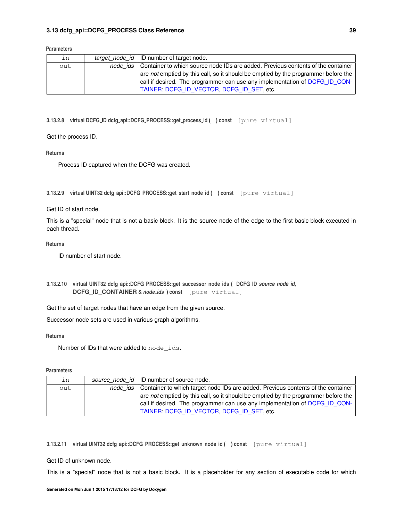#### <span id="page-46-8"></span>**Parameters**

| in  | <i>target node id</i> $ $ ID number of target node.                                         |
|-----|---------------------------------------------------------------------------------------------|
| out | node ids   Container to which source node IDs are added. Previous contents of the container |
|     | are not emptied by this call, so it should be emptied by the programmer before the          |
|     | call if desired. The programmer can use any implementation of DCFG ID CON-                  |
|     | TAINER: DCFG ID VECTOR, DCFG ID SET, etc.                                                   |

<span id="page-46-4"></span><span id="page-46-0"></span>**3.13.2.8 virtual DCFG ID dcfg api::DCFG PROCESS::get process id ( ) const** [pure virtual]

#### Get the process ID.

#### **Returns**

Process ID captured when the DCFG was created.

<span id="page-46-5"></span><span id="page-46-1"></span>**3.13.2.9 virtual UINT32 dcfg api::DCFG PROCESS::get start node id ( ) const** [pure virtual]

#### Get ID of start node.

This is a "special" node that is not a basic block. It is the source node of the edge to the first basic block executed in each thread.

#### **Returns**

<span id="page-46-7"></span>ID number of start node.

<span id="page-46-2"></span>**3.13.2.10 virtual UINT32 dcfg api::DCFG PROCESS::get successor node ids ( DCFG ID** *source node id,* **DCFG\_ID\_CONTAINER &** *node ids* **) const** [pure virtual]

Get the set of target nodes that have an edge from the given source.

Successor node sets are used in various graph algorithms.

**Returns**

Number of IDs that were added to node\_ids.

#### **Parameters**

| in  | source node id   ID number of source node.                                                  |
|-----|---------------------------------------------------------------------------------------------|
| out | node ids   Container to which target node IDs are added. Previous contents of the container |
|     | are not emptied by this call, so it should be emptied by the programmer before the          |
|     | call if desired. The programmer can use any implementation of DCFG ID CON-                  |
|     | TAINER: DCFG ID VECTOR, DCFG ID SET, etc.                                                   |

<span id="page-46-6"></span><span id="page-46-3"></span>**3.13.2.11 virtual UINT32 dcfg api::DCFG PROCESS::get unknown node id ( ) const** [pure virtual]

#### Get ID of unknown node.

This is a "special" node that is not a basic block. It is a placeholder for any section of executable code for which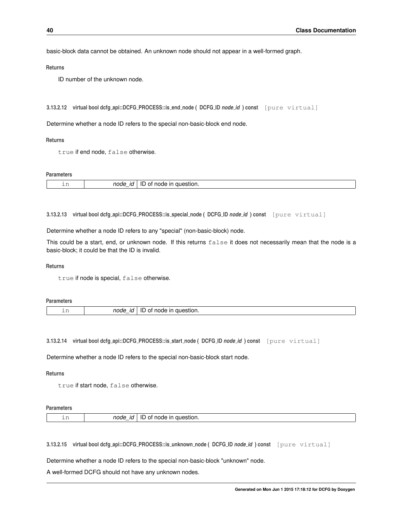<span id="page-47-8"></span>basic-block data cannot be obtained. An unknown node should not appear in a well-formed graph.

**Returns**

ID number of the unknown node.

<span id="page-47-6"></span><span id="page-47-0"></span>**3.13.2.12 virtual bool dcfg api::DCFG PROCESS::is end node ( DCFG ID** *node id* **) const** [pure virtual]

Determine whether a node ID refers to the special non-basic-block end node.

#### **Returns**

true if end node, false otherwise.

#### **Parameters**

<span id="page-47-4"></span>

| --<br>--- | $\sim$ $\sim$<br>ากศค<br>ıи<br>__ | החטווריי<br>$  -$<br>_______ |
|-----------|-----------------------------------|------------------------------|

<span id="page-47-1"></span>**3.13.2.13 virtual bool dcfg api::DCFG PROCESS::is special node ( DCFG ID** *node id* **) const** [pure virtual]

Determine whether a node ID refers to any "special" (non-basic-block) node.

This could be a start, end, or unknown node. If this returns false it does not necessarily mean that the node is a basic-block; it could be that the ID is invalid.

#### **Returns**

true if node is special, false otherwise.

#### **Parameters**

<span id="page-47-5"></span>

| <b>++++</b><br><u>. п</u> | . |  | ∼що… |
|---------------------------|---|--|------|
|---------------------------|---|--|------|

<span id="page-47-2"></span>**3.13.2.14 virtual bool dcfg api::DCFG PROCESS::is start node ( DCFG ID** *node id* **) const** [pure virtual]

Determine whether a node ID refers to the special non-basic-block start node.

#### **Returns**

true if start node, false otherwise.

#### **Parameters**

<span id="page-47-7"></span>

| — + +<br>$\overline{\phantom{a}}$ | -- | node<br>ĸ | ΙL<br>∵ question.<br>Ħ<br>r 10<br>90.<br>οı |
|-----------------------------------|----|-----------|---------------------------------------------|
|-----------------------------------|----|-----------|---------------------------------------------|

<span id="page-47-3"></span>**3.13.2.15 virtual bool dcfg api::DCFG PROCESS::is unknown node ( DCFG ID** *node id* **) const** [pure virtual]

Determine whether a node ID refers to the special non-basic-block "unknown" node.

A well-formed DCFG should not have any unknown nodes.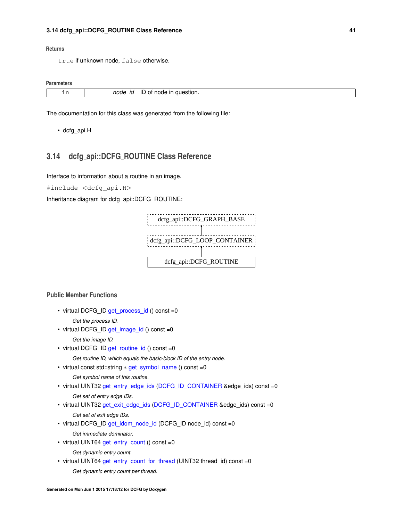#### <span id="page-48-2"></span>**Returns**

true if unknown node, false otherwise.

#### **Parameters**

| <b>11-11-0</b> | node<br>IC | question.<br>ın<br>none<br>$^{\prime}$<br>. |
|----------------|------------|---------------------------------------------|

The documentation for this class was generated from the following file:

• dcfg\_api.H

## <span id="page-48-1"></span><span id="page-48-0"></span>**3.14 dcfg api::DCFG ROUTINE Class Reference**

Interface to information about a routine in an image.

#include <dcfg\_api.H>

Inheritance diagram for dcfg\_api::DCFG\_ROUTINE:



#### **Public Member Functions**

• virtual DCFG\_ID [get\\_process\\_id](#page-50-3) () const =0

*Get the process ID.*

• virtual DCFG\_ID [get\\_image\\_id](#page-50-4) () const =0

*Get the image ID.*

- virtual DCFG\_ID [get\\_routine\\_id](#page-51-5) () const =0
	- *Get routine ID, which equals the basic-block ID of the entry node.*
- virtual const std::string \* [get\\_symbol\\_name](#page-51-6) () const =0
	- *Get symbol name of this routine.*
- virtual UINT32 [get\\_entry\\_edge\\_ids](#page-49-5) [\(DCFG\\_ID\\_CONTAINER](#page-29-3) &edge\_ids) const =0 *Get set of entry edge IDs.*
- virtual UINT32 [get\\_exit\\_edge\\_ids](#page-50-5) [\(DCFG\\_ID\\_CONTAINER](#page-29-3) &edge\_ids) const =0 *Get set of exit edge IDs.*
- virtual DCFG\_ID [get\\_idom\\_node\\_id](#page-50-6) (DCFG\_ID node\_id) const =0
	- *Get immediate dominator.*
- virtual UINT64 [get\\_entry\\_count](#page-49-2) () const =0

*Get dynamic entry count.*

• virtual UINT64 [get\\_entry\\_count\\_for\\_thread](#page-49-6) (UINT32 thread\_id) const =0

*Get dynamic entry count per thread.*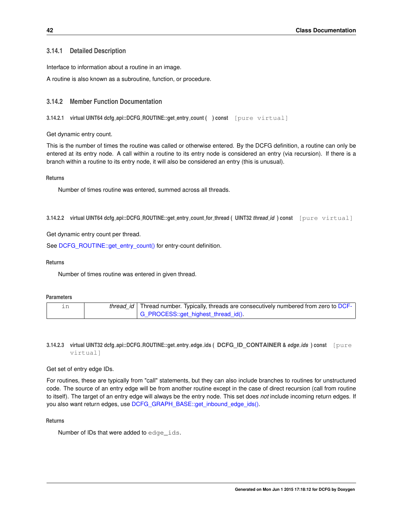## <span id="page-49-7"></span><span id="page-49-0"></span>**3.14.1 Detailed Description**

Interface to information about a routine in an image.

A routine is also known as a subroutine, function, or procedure.

## <span id="page-49-1"></span>**3.14.2 Member Function Documentation**

<span id="page-49-2"></span>**3.14.2.1 virtual UINT64 dcfg api::DCFG ROUTINE::get entry count ( ) const** [pure virtual]

Get dynamic entry count.

This is the number of times the routine was called or otherwise entered. By the DCFG definition, a routine can only be entered at its entry node. A call within a routine to its entry node is considered an entry (via recursion). If there is a branch within a routine to its entry node, it will also be considered an entry (this is unusual).

#### **Returns**

Number of times routine was entered, summed across all threads.

<span id="page-49-6"></span><span id="page-49-3"></span>**3.14.2.2 virtual UINT64 dcfg api::DCFG ROUTINE::get entry count for thread ( UINT32** *thread id* **) const** [pure virtual]

Get dynamic entry count per thread.

See [DCFG\\_ROUTINE::get\\_entry\\_count\(\)](#page-49-2) for entry-count definition.

#### **Returns**

Number of times routine was entered in given thread.

#### **Parameters**

|  | thread_id   Thread number. Typically, threads are consecutively numbered from zero to DCF- |
|--|--------------------------------------------------------------------------------------------|
|  | G_PROCESS::get_highest_thread_id().                                                        |

<span id="page-49-5"></span><span id="page-49-4"></span>**3.14.2.3 virtual UINT32 dcfg api::DCFG ROUTINE::get entry edge ids ( DCFG\_ID\_CONTAINER &** *edge ids* **) const** [pure virtual]

#### Get set of entry edge IDs.

For routines, these are typically from "call" statements, but they can also include branches to routines for unstructured code. The source of an entry edge will be from another routine except in the case of direct recursion (call from routine to itself). The target of an entry edge will always be the entry node. This set does *not* include incoming return edges. If you also want return edges, use [DCFG\\_GRAPH\\_BASE::get\\_inbound\\_edge\\_ids\(\).](#page-28-7)

#### **Returns**

Number of IDs that were added to edge\_ids.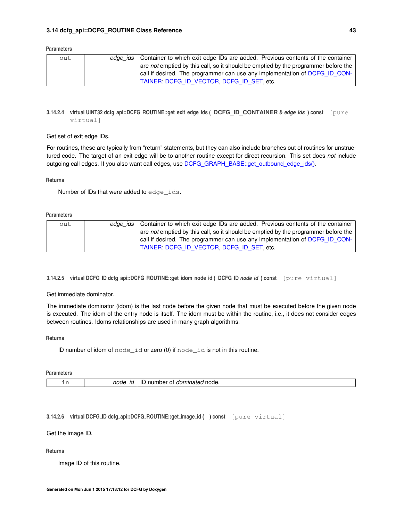#### <span id="page-50-7"></span>**Parameters**

| out | edge ids   Container to which exit edge IDs are added. Previous contents of the container |
|-----|-------------------------------------------------------------------------------------------|
|     | are not emptied by this call, so it should be emptied by the programmer before the        |
|     | call if desired. The programmer can use any implementation of DCFG ID CON-                |
|     | TAINER DCFG ID VECTOR DCFG ID SET etc.                                                    |

#### <span id="page-50-5"></span><span id="page-50-0"></span>**3.14.2.4 virtual UINT32 dcfg api::DCFG ROUTINE::get exit edge ids ( DCFG\_ID\_CONTAINER &** *edge ids* **) const** [pure virtual]

#### Get set of exit edge IDs.

For routines, these are typically from "return" statements, but they can also include branches out of routines for unstructured code. The target of an exit edge will be to another routine except for direct recursion. This set does *not* include outgoing call edges. If you also want call edges, use [DCFG\\_GRAPH\\_BASE::get\\_outbound\\_edge\\_ids\(\).](#page-29-5)

#### **Returns**

Number of IDs that were added to edge\_ids.

#### **Parameters**

| out | edge ids   Container to which exit edge IDs are added. Previous contents of the container |
|-----|-------------------------------------------------------------------------------------------|
|     | are not emptied by this call, so it should be emptied by the programmer before the        |
|     | call if desired. The programmer can use any implementation of DCFG ID CON-                |
|     | TAINER DCFG ID VECTOR DCFG ID SET etc.                                                    |

<span id="page-50-6"></span><span id="page-50-1"></span>**3.14.2.5 virtual DCFG ID dcfg api::DCFG ROUTINE::get idom node id ( DCFG ID** *node id* **) const** [pure virtual]

#### Get immediate dominator.

The immediate dominator (idom) is the last node before the given node that must be executed before the given node is executed. The idom of the entry node is itself. The idom must be within the routine, i.e., it does not consider edges between routines. Idoms relationships are used in many graph algorithms.

#### **Returns**

ID number of idom of node\_id or zero (0) if node\_id is not in this routine.

#### **Parameters**

<span id="page-50-4"></span>

| node<br>nui<br>aner<br>к<br>ΩT<br>ורזר<br>- IL<br>поає<br>Ш<br>---<br>. |
|-------------------------------------------------------------------------|
|-------------------------------------------------------------------------|

<span id="page-50-2"></span>**3.14.2.6 virtual DCFG ID dcfg api::DCFG ROUTINE::get image id ( ) const** [pure virtual]

#### Get the image ID.

#### **Returns**

<span id="page-50-3"></span>Image ID of this routine.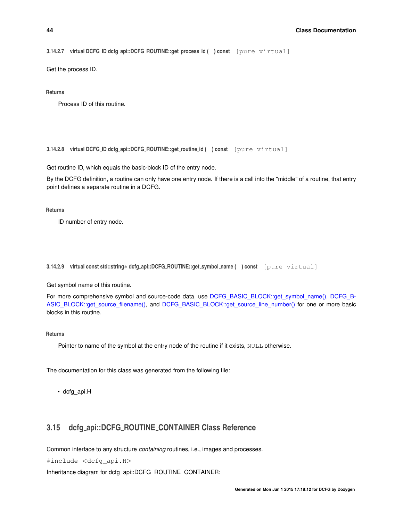```
3.14.2.7 virtual DCFG ID dcfg api::DCFG ROUTINE::get process id ( ) const [pure virtual]
```
Get the process ID.

#### **Returns**

<span id="page-51-5"></span>Process ID of this routine.

<span id="page-51-1"></span>**3.14.2.8 virtual DCFG ID dcfg api::DCFG ROUTINE::get routine id ( ) const** [pure virtual]

Get routine ID, which equals the basic-block ID of the entry node.

By the DCFG definition, a routine can only have one entry node. If there is a call into the "middle" of a routine, that entry point defines a separate routine in a DCFG.

**Returns**

<span id="page-51-6"></span>ID number of entry node.

<span id="page-51-2"></span>**3.14.2.9 virtual const std::string**∗ **dcfg api::DCFG ROUTINE::get symbol name ( ) const** [pure virtual]

Get symbol name of this routine.

For more comprehensive symbol and source-code data, use [DCFG\\_BASIC\\_BLOCK::get\\_symbol\\_name\(\),](#page-15-8) [DCFG\\_B-](#page-15-10)[ASIC\\_BLOCK::get\\_source\\_filename\(\),](#page-15-10) and [DCFG\\_BASIC\\_BLOCK::get\\_source\\_line\\_number\(\)](#page-15-11) for one or more basic blocks in this routine.

#### **Returns**

Pointer to name of the symbol at the entry node of the routine if it exists, NULL otherwise.

The documentation for this class was generated from the following file:

<span id="page-51-4"></span>• dcfg\_api.H

## <span id="page-51-3"></span>**3.15 dcfg api::DCFG ROUTINE CONTAINER Class Reference**

Common interface to any structure *containing* routines, i.e., images and processes.

#include <dcfg\_api.H>

Inheritance diagram for dcfg\_api::DCFG\_ROUTINE\_CONTAINER: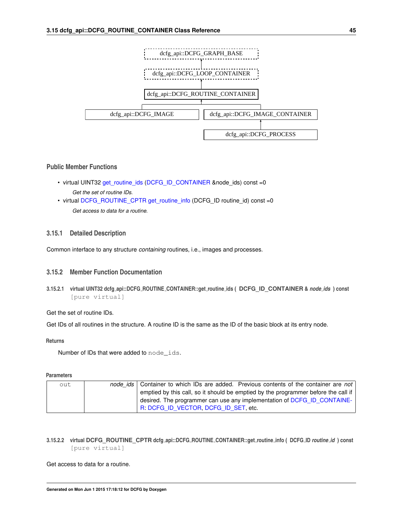<span id="page-52-5"></span>

#### **Public Member Functions**

- virtual UINT32 [get\\_routine\\_ids](#page-52-2) [\(DCFG\\_ID\\_CONTAINER](#page-29-3) &node\_ids) const =0 *Get the set of routine IDs.*
- virtual [DCFG\\_ROUTINE\\_CPTR](#page-48-1) [get\\_routine\\_info](#page-52-4) (DCFG\_ID routine\_id) const =0 *Get access to data for a routine.*

#### <span id="page-52-0"></span>**3.15.1 Detailed Description**

Common interface to any structure *containing* routines, i.e., images and processes.

#### <span id="page-52-1"></span>**3.15.2 Member Function Documentation**

<span id="page-52-2"></span>**3.15.2.1 virtual UINT32 dcfg api::DCFG ROUTINE CONTAINER::get routine ids ( DCFG\_ID\_CONTAINER &** *node ids* **) const** [pure virtual]

### Get the set of routine IDs.

Get IDs of all routines in the structure. A routine ID is the same as the ID of the basic block at its entry node.

#### **Returns**

Number of IDs that were added to node\_ids.

#### **Parameters**

| out | node ids   Container to which IDs are added. Previous contents of the container are not |
|-----|-----------------------------------------------------------------------------------------|
|     | emptied by this call, so it should be emptied by the programmer before the call if      |
|     | desired. The programmer can use any implementation of DCFG ID CONTAINE-                 |
|     | R: DCFG ID VECTOR, DCFG ID SET, etc.                                                    |

<span id="page-52-4"></span><span id="page-52-3"></span>**3.15.2.2 virtual DCFG\_ROUTINE\_CPTR dcfg api::DCFG ROUTINE CONTAINER::get routine info ( DCFG ID** *routine id* **) const** [pure virtual]

Get access to data for a routine.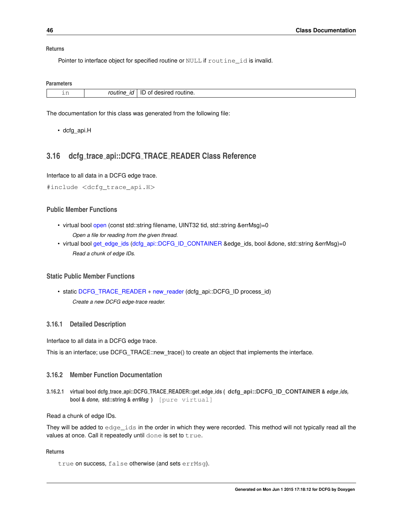#### <span id="page-53-5"></span>**Returns**

Pointer to interface object for specified routine or NULL if routine\_id is invalid.

#### **Parameters**

| --- | . .<br>$\sim$ $\sim$ $\sim$ $\sim$ $\sim$ $\sim$ $\sim$ $\sim$ |
|-----|----------------------------------------------------------------|

The documentation for this class was generated from the following file:

• dcfg\_api.H

## <span id="page-53-4"></span><span id="page-53-0"></span>**3.16 dcfg trace api::DCFG TRACE READER Class Reference**

Interface to all data in a DCFG edge trace.

```
#include <dcfg_trace_api.H>
```
#### **Public Member Functions**

- virtual bool [open](#page-54-3) (const std::string filename, UINT32 tid, std::string &errMsg)=0 *Open a file for reading from the given thread.*
- virtual bool [get\\_edge\\_ids](#page-53-3) [\(dcfg\\_api::DCFG\\_ID\\_CONTAINER](#page-29-3) &edge\_ids, bool &done, std::string &errMsg)=0 *Read a chunk of edge IDs.*

#### **Static Public Member Functions**

• static [DCFG\\_TRACE\\_READER](#page-53-4) ∗ [new\\_reader](#page-54-4) (dcfg\_api::DCFG\_ID process\_id) *Create a new DCFG edge-trace reader.*

#### <span id="page-53-1"></span>**3.16.1 Detailed Description**

Interface to all data in a DCFG edge trace.

This is an interface; use DCFG\_TRACE::new\_trace() to create an object that implements the interface.

#### <span id="page-53-2"></span>**3.16.2 Member Function Documentation**

<span id="page-53-3"></span>**3.16.2.1 virtual bool dcfg trace api::DCFG TRACE READER::get edge ids ( dcfg\_api::DCFG\_ID\_CONTAINER &** *edge ids,* **bool &** *done,* **std::string &** *errMsg* **)** [pure virtual]

Read a chunk of edge IDs.

They will be added to edge\_ids in the order in which they were recorded. This method will not typically read all the values at once. Call it repeatedly until done is set to true.

### **Returns**

```
true on success, false otherwise (and sets errMsg).
```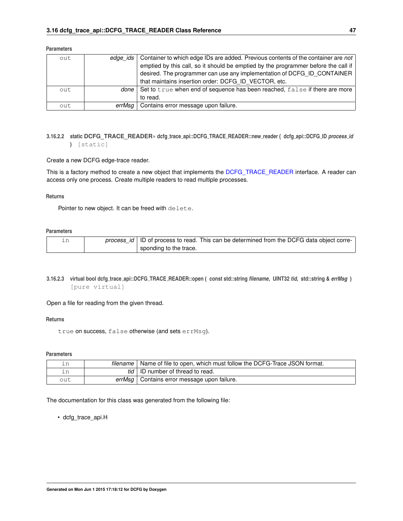| out | edge ids | Container to which edge IDs are added. Previous contents of the container are not<br>emptied by this call, so it should be emptied by the programmer before the call if<br>desired. The programmer can use any implementation of DCFG ID CONTAINER<br>that maintains insertion order: DCFG ID VECTOR, etc. |
|-----|----------|------------------------------------------------------------------------------------------------------------------------------------------------------------------------------------------------------------------------------------------------------------------------------------------------------------|
| out | done l   | Set to true when end of sequence has been reached, false if there are more<br>to read.                                                                                                                                                                                                                     |
| out | errMsa l | Contains error message upon failure.                                                                                                                                                                                                                                                                       |

#### <span id="page-54-5"></span>**Parameters**

#### <span id="page-54-4"></span><span id="page-54-0"></span>**3.16.2.2 static DCFG\_TRACE\_READER**∗ **dcfg trace api::DCFG TRACE READER::new reader ( dcfg api::DCFG ID** *process id* **)** [static]

## Create a new DCFG edge-trace reader.

This is a factory method to create a new object that implements the [DCFG\\_TRACE\\_READER](#page-53-4) interface. A reader can access only one process. Create multiple readers to read multiple processes.

#### **Returns**

Pointer to new object. It can be freed with delete.

#### **Parameters**

|  |                        | process_id   ID of process to read. This can be determined from the DCFG data object corre- |
|--|------------------------|---------------------------------------------------------------------------------------------|
|  | sponding to the trace. |                                                                                             |

<span id="page-54-3"></span><span id="page-54-1"></span>**3.16.2.3 virtual bool dcfg trace api::DCFG TRACE READER::open ( const std::string** *filename,* **UINT32** *tid,* **std::string &** *errMsg* **)** [pure virtual]

#### Open a file for reading from the given thread.

#### **Returns**

true on success, false otherwise (and sets errMsg).

#### <span id="page-54-2"></span>**Parameters**

| ın  | filename | Name of file to open, which must follow the DCFG-Trace JSON format. |
|-----|----------|---------------------------------------------------------------------|
| ın  |          | <i>tid</i>   ID number of thread to read.                           |
| out |          | errMsg   Contains error message upon failure.                       |

The documentation for this class was generated from the following file:

• dcfg\_trace\_api.H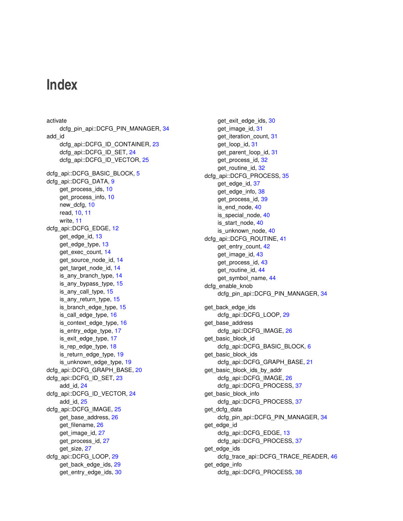## **Index**

activate dcfg\_pin\_api::DCFG\_PIN\_MANAGER, [34](#page-41-8) add\_id dcfg\_api::DCFG\_ID\_CONTAINER, [23](#page-30-5) dcfg\_api::DCFG\_ID\_SET, [24](#page-31-5) dcfg\_api::DCFG\_ID\_VECTOR, [25](#page-32-5) dcfg\_api::DCFG\_BASIC\_BLOCK, [5](#page-12-2) dcfg\_api::DCFG\_DATA, [9](#page-16-5) get process ids, [10](#page-17-8) get\_process\_info, [10](#page-17-8) new\_dcfg, [10](#page-17-8) read, [10,](#page-17-8) [11](#page-18-8) write, [11](#page-18-8) dcfg\_api::DCFG\_EDGE, [12](#page-19-0) get edge id, [13](#page-20-4) get\_edge\_type, [13](#page-20-4) get\_exec\_count, [14](#page-21-10) get\_source\_node\_id, [14](#page-21-10) get\_target\_node\_id, [14](#page-21-10) is any branch type, [14](#page-21-10) is\_any\_bypass\_type, [15](#page-22-12) is any call type, [15](#page-22-12) is\_any\_return\_type, [15](#page-22-12) is\_branch\_edge\_type, [15](#page-22-12) is\_call\_edge\_type, [16](#page-23-12) is\_context\_edge\_type, [16](#page-23-12) is\_entry\_edge\_type, [17](#page-24-12) is exit edge type, [17](#page-24-12) is rep\_edge\_type, [18](#page-25-12) is return edge type, [19](#page-26-12) is\_unknown\_edge\_type, [19](#page-26-12) dcfg\_api::DCFG\_GRAPH\_BASE, [20](#page-27-4) dcfg\_api::DCFG\_ID\_SET, [23](#page-30-5) add\_id, [24](#page-31-5) dcfg\_api::DCFG\_ID\_VECTOR, [24](#page-31-5) add\_id, [25](#page-32-5) dcfg\_api::DCFG\_IMAGE, [25](#page-32-5) get\_base\_address, [26](#page-33-7) get filename, [26](#page-33-7) get\_image\_id, [27](#page-34-8) get\_process\_id, [27](#page-34-8) get\_size, [27](#page-34-8) dcfg\_api::DCFG\_LOOP, [29](#page-36-3) get\_back\_edge\_ids, [29](#page-36-3) get\_entry\_edge\_ids, [30](#page-37-4)

get\_exit\_edge\_ids, [30](#page-37-4) get\_image\_id, [31](#page-38-9) get\_iteration\_count, [31](#page-38-9) get\_loop\_id, [31](#page-38-9) get\_parent\_loop\_id, [31](#page-38-9) get process id, [32](#page-39-6) get routine id, [32](#page-39-6) dcfg\_api::DCFG\_PROCESS, [35](#page-42-7) get edge id, [37](#page-44-7) get edge info, [38](#page-45-8) get process id, [39](#page-46-8) is end node, [40](#page-47-8) is special node, [40](#page-47-8) is\_start\_node, [40](#page-47-8) is\_unknown\_node, [40](#page-47-8) dcfg\_api::DCFG\_ROUTINE, [41](#page-48-2) get\_entry\_count, [42](#page-49-7) get image id, [43](#page-50-7) get\_process\_id, [43](#page-50-7) get\_routine\_id, [44](#page-51-7) get\_symbol\_name, [44](#page-51-7) dcfg\_enable\_knob dcfg\_pin\_api::DCFG\_PIN\_MANAGER, [34](#page-41-8) get back edge ids dcfg\_api::DCFG\_LOOP, [29](#page-36-3) get base address dcfg\_api::DCFG\_IMAGE, [26](#page-33-7) get\_basic\_block\_id dcfg\_api::DCFG\_BASIC\_BLOCK, [6](#page-13-7) get basic block ids dcfg\_api::DCFG\_GRAPH\_BASE, [21](#page-28-8) get\_basic\_block\_ids\_by\_addr dcfg\_api::DCFG\_IMAGE, [26](#page-33-7) dcfg\_api::DCFG\_PROCESS, [37](#page-44-7) get\_basic\_block\_info dcfg\_api::DCFG\_PROCESS, [37](#page-44-7) get\_dcfg\_data dcfg\_pin\_api::DCFG\_PIN\_MANAGER, [34](#page-41-8) get\_edge\_id dcfg\_api::DCFG\_EDGE, [13](#page-20-4) dcfg\_api::DCFG\_PROCESS, [37](#page-44-7) get\_edge\_ids dcfg\_trace\_api::DCFG\_TRACE\_READER, [46](#page-53-5) get\_edge\_info dcfg\_api::DCFG\_PROCESS, [38](#page-45-8)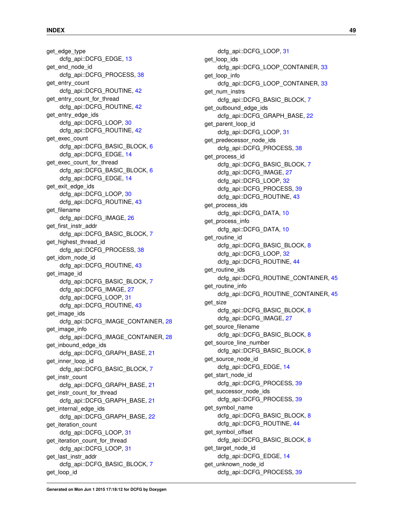get\_edge\_type dcfg\_api::DCFG\_EDGE, [13](#page-20-4) get end node id dcfg\_api::DCFG\_PROCESS, [38](#page-45-8) get\_entry\_count dcfg\_api::DCFG\_ROUTINE, [42](#page-49-7) get\_entry\_count\_for\_thread dcfg\_api::DCFG\_ROUTINE, [42](#page-49-7) get\_entry\_edge\_ids dcfg\_api::DCFG\_LOOP, [30](#page-37-4) dcfg\_api::DCFG\_ROUTINE, [42](#page-49-7) get exec\_count dcfg\_api::DCFG\_BASIC\_BLOCK, [6](#page-13-7) dcfg\_api::DCFG\_EDGE, [14](#page-21-10) get exec\_count\_for\_thread dcfg\_api::DCFG\_BASIC\_BLOCK, [6](#page-13-7) dcfg\_api::DCFG\_EDGE, [14](#page-21-10) get\_exit\_edge\_ids dcfg\_api::DCFG\_LOOP, [30](#page-37-4) dcfg\_api::DCFG\_ROUTINE, [43](#page-50-7) get\_filename dcfg\_api::DCFG\_IMAGE, [26](#page-33-7) get first instr\_addr dcfg\_api::DCFG\_BASIC\_BLOCK, [7](#page-14-10) get highest thread id dcfg\_api::DCFG\_PROCESS, [38](#page-45-8) get idom node id dcfg\_api::DCFG\_ROUTINE, [43](#page-50-7) get image id dcfg\_api::DCFG\_BASIC\_BLOCK, [7](#page-14-10) dcfg\_api::DCFG\_IMAGE, [27](#page-34-8) dcfg\_api::DCFG\_LOOP, [31](#page-38-9) dcfg\_api::DCFG\_ROUTINE, [43](#page-50-7) get\_image\_ids dcfg\_api::DCFG\_IMAGE\_CONTAINER, [28](#page-35-7) get\_image\_info dcfg\_api::DCFG\_IMAGE\_CONTAINER, [28](#page-35-7) get inbound edge ids dcfg\_api::DCFG\_GRAPH\_BASE, [21](#page-28-8) get inner loop id dcfg\_api::DCFG\_BASIC\_BLOCK, [7](#page-14-10) get\_instr\_count dcfg\_api::DCFG\_GRAPH\_BASE, [21](#page-28-8) get instr count for thread dcfg\_api::DCFG\_GRAPH\_BASE, [21](#page-28-8) get\_internal\_edge\_ids dcfg\_api::DCFG\_GRAPH\_BASE, [22](#page-29-6) get iteration count dcfg\_api::DCFG\_LOOP, [31](#page-38-9) get\_iteration\_count\_for\_thread dcfg\_api::DCFG\_LOOP, [31](#page-38-9) get last instr\_addr dcfg\_api::DCFG\_BASIC\_BLOCK, [7](#page-14-10) get\_loop\_id

dcfg\_api::DCFG\_LOOP, [31](#page-38-9) get loop ids dcfg\_api::DCFG\_LOOP\_CONTAINER, [33](#page-40-7) get\_loop\_info dcfg\_api::DCFG\_LOOP\_CONTAINER, [33](#page-40-7) get num instrs dcfg\_api::DCFG\_BASIC\_BLOCK, [7](#page-14-10) get\_outbound\_edge\_ids dcfg\_api::DCFG\_GRAPH\_BASE, [22](#page-29-6) get parent loop id dcfg\_api::DCFG\_LOOP, [31](#page-38-9) get predecessor node ids dcfg\_api::DCFG\_PROCESS, [38](#page-45-8) get process id dcfg\_api::DCFG\_BASIC\_BLOCK, [7](#page-14-10) dcfg\_api::DCFG\_IMAGE, [27](#page-34-8) dcfg\_api::DCFG\_LOOP, [32](#page-39-6) dcfg\_api::DCFG\_PROCESS, [39](#page-46-8) dcfg\_api::DCFG\_ROUTINE, [43](#page-50-7) get\_process\_ids dcfg\_api::DCFG\_DATA, [10](#page-17-8) get process info dcfg\_api::DCFG\_DATA, [10](#page-17-8) get routine id dcfg\_api::DCFG\_BASIC\_BLOCK, [8](#page-15-12) dcfg\_api::DCFG\_LOOP, [32](#page-39-6) dcfg\_api::DCFG\_ROUTINE, [44](#page-51-7) get\_routine\_ids dcfg\_api::DCFG\_ROUTINE\_CONTAINER, [45](#page-52-5) get routine info dcfg\_api::DCFG\_ROUTINE\_CONTAINER, [45](#page-52-5) get\_size dcfg\_api::DCFG\_BASIC\_BLOCK, [8](#page-15-12) dcfg\_api::DCFG\_IMAGE, [27](#page-34-8) get\_source\_filename dcfg\_api::DCFG\_BASIC\_BLOCK, [8](#page-15-12) get\_source\_line\_number dcfg\_api::DCFG\_BASIC\_BLOCK, [8](#page-15-12) get source node id dcfg\_api::DCFG\_EDGE, [14](#page-21-10) get start node id dcfg\_api::DCFG\_PROCESS, [39](#page-46-8) get successor node ids dcfg\_api::DCFG\_PROCESS, [39](#page-46-8) get symbol name dcfg\_api::DCFG\_BASIC\_BLOCK, [8](#page-15-12) dcfg\_api::DCFG\_ROUTINE, [44](#page-51-7) get symbol offset dcfg\_api::DCFG\_BASIC\_BLOCK, [8](#page-15-12) get target node id dcfg\_api::DCFG\_EDGE, [14](#page-21-10) get\_unknown\_node\_id dcfg\_api::DCFG\_PROCESS, [39](#page-46-8)